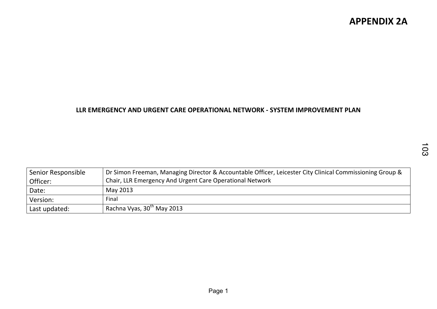#### LLR EMERGENCY AND URGENT CARE OPERATIONAL NETWORK - SYSTEM IMPROVEMENT PLAN

| Senior Responsible<br>Officer: | Dr Simon Freeman, Managing Director & Accountable Officer, Leicester City Clinical Commissioning Group &<br>Chair, LLR Emergency And Urgent Care Operational Network |
|--------------------------------|----------------------------------------------------------------------------------------------------------------------------------------------------------------------|
| Date:                          | May 2013                                                                                                                                                             |
| Version:                       | Final                                                                                                                                                                |
| Last updated:                  | Rachna Vyas, 30th May 2013                                                                                                                                           |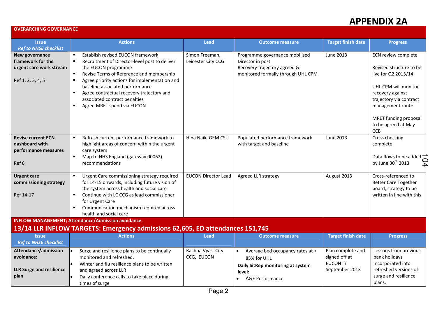#### OVERARCHING GOVERNANCE

| <b>Issue</b>                                                                                                        | <b>Actions</b>                                                                                                                                                                                                                                                                                  | <b>Lead</b>                          | <b>Outcome measure</b>                                                                                                   | <b>Target finish date</b>                                               | <b>Progress</b>                                                                                                        |
|---------------------------------------------------------------------------------------------------------------------|-------------------------------------------------------------------------------------------------------------------------------------------------------------------------------------------------------------------------------------------------------------------------------------------------|--------------------------------------|--------------------------------------------------------------------------------------------------------------------------|-------------------------------------------------------------------------|------------------------------------------------------------------------------------------------------------------------|
| <b>Ref to NHSE checklist</b><br>New governance<br>framework for the<br>urgent care work stream<br>Ref 1, 2, 3, 4, 5 | Establish revised EUCON framework<br>$\blacksquare$<br>Recruitment of Director-level post to deliver<br>$\blacksquare$<br>the EUCON programme<br>Revise Terms of Reference and membership<br>$\blacksquare$<br>Agree priority actions for implementation and<br>baseline associated performance | Simon Freeman,<br>Leicester City CCG | Programme governance mobilised<br>Director in post<br>Recovery trajectory agreed &<br>monitored formally through UHL CPM | June 2013                                                               | ECN review complete<br>Revised structure to be<br>live for Q2 2013/14<br>UHL CPM will monitor                          |
|                                                                                                                     | Agree contractual recovery trajectory and<br>$\blacksquare$<br>associated contract penalties<br>Agree MRET spend via EUCON                                                                                                                                                                      |                                      |                                                                                                                          |                                                                         | recovery against<br>trajectory via contract<br>management route<br>MRET funding proposal<br>to be agreed at May        |
| <b>Revise current ECN</b><br>dashboard with<br>performance measures                                                 | Refresh current performance framework to<br>$\blacksquare$<br>highlight areas of concern within the urgent<br>care system                                                                                                                                                                       | Hina Naik, GEM CSU                   | Populated performance framework<br>with target and baseline                                                              | June 2013                                                               | <b>CCB</b><br>Cross checking<br>complete                                                                               |
| Ref 6                                                                                                               | Map to NHS England (gateway 00062)<br>$\blacksquare$<br>recommendations                                                                                                                                                                                                                         |                                      |                                                                                                                          |                                                                         | Data flows to be added $\pm$<br>D4<br>by June 30 <sup>th</sup> 2013                                                    |
| <b>Urgent care</b><br>commissioning strategy<br>Ref 14-17                                                           | Urgent Care commissioning strategy required<br>for 14-15 onwards, including future vision of<br>the system across health and social care<br>Continue with LC CCG as lead commissioner<br>$\blacksquare$<br>for Urgent Care<br>Communication mechanism required across                           | <b>EUCON Director Lead</b>           | Agreed LLR strategy                                                                                                      | August 2013                                                             | Cross-referenced to<br><b>Better Care Together</b><br>board, strategy to be<br>written in line with this               |
|                                                                                                                     | health and social care<br><b>INFLOW MANAGEMENT; Attendance/Admission avoidance.</b>                                                                                                                                                                                                             |                                      |                                                                                                                          |                                                                         |                                                                                                                        |
|                                                                                                                     | 13/14 LLR INFLOW TARGETS: Emergency admissions 62,605, ED attendances 151,745                                                                                                                                                                                                                   |                                      |                                                                                                                          |                                                                         |                                                                                                                        |
| <b>Issue</b><br><b>Ref to NHSE checklist</b>                                                                        | <b>Actions</b>                                                                                                                                                                                                                                                                                  | <b>Lead</b>                          | <b>Outcome measure</b>                                                                                                   | <b>Target finish date</b>                                               | <b>Progress</b>                                                                                                        |
| Attendance/admission<br>avoidance:<br><b>LLR Surge and resilience</b><br>plan                                       | Surge and resilience plans to be continually<br>monitored and refreshed.<br>Winter and flu resilience plans to be written<br>and agreed across LLR<br>Daily conference calls to take place during<br>times of surge                                                                             | Rachna Vyas- City<br>CCG, EUCON      | Average bed occupancy rates at <<br>85% for UHL<br>Daily SitRep monitoring at system<br>level:<br>A&E Performance        | Plan complete and<br>signed off at<br><b>EUCON</b> in<br>September 2013 | Lessons from previous<br>bank holidays<br>incorporated into<br>refreshed versions of<br>surge and resilience<br>plans. |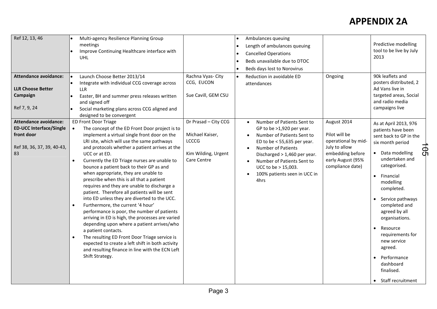| Ref 12, 13, 46<br><b>Attendance avoidance:</b><br><b>LLR Choose Better</b><br>Campaign<br>Ref 7, 9, 24           | Multi-agency Resilience Planning Group<br>meetings<br>Improve Continuing Healthcare interface with<br><b>UHL</b><br>Launch Choose Better 2013/14<br>Integrate with individual CCG coverage across<br><b>LLR</b><br>Easter, BH and summer press releases written<br>and signed off<br>Social marketing plans across CCG aligned and                                                                                                                                                                                                                                                                                                                                                                                                                                                                                                                                                                                                                                                                               | Rachna Vyas- City<br>CCG, EUCON<br>Sue Cavill, GEM CSU                                        | Ambulances queuing<br>$\bullet$<br>Length of ambulances queuing<br>$\bullet$<br><b>Cancelled Operations</b><br>$\bullet$<br>Beds unavailable due to DTOC<br>$\bullet$<br>Beds days lost to Norovirus<br>$\bullet$<br>Reduction in avoidable ED<br>$\bullet$<br>attendances                              | Ongoing                                                                                                                           | Predictive modelling<br>tool to be live by July<br>2013<br>90k leaflets and<br>posters distributed, 2<br>Ad Vans live in<br>targeted areas, Social<br>and radio media<br>campaigns live                                                                                                                                                                                                                                |
|------------------------------------------------------------------------------------------------------------------|------------------------------------------------------------------------------------------------------------------------------------------------------------------------------------------------------------------------------------------------------------------------------------------------------------------------------------------------------------------------------------------------------------------------------------------------------------------------------------------------------------------------------------------------------------------------------------------------------------------------------------------------------------------------------------------------------------------------------------------------------------------------------------------------------------------------------------------------------------------------------------------------------------------------------------------------------------------------------------------------------------------|-----------------------------------------------------------------------------------------------|---------------------------------------------------------------------------------------------------------------------------------------------------------------------------------------------------------------------------------------------------------------------------------------------------------|-----------------------------------------------------------------------------------------------------------------------------------|------------------------------------------------------------------------------------------------------------------------------------------------------------------------------------------------------------------------------------------------------------------------------------------------------------------------------------------------------------------------------------------------------------------------|
| <b>Attendance avoidance:</b><br><b>ED-UCC Interface/Single</b><br>front door<br>Ref 38, 36, 37, 39, 40-43,<br>83 | designed to be convergent<br><b>ED Front Door Triage</b><br>The concept of the ED Front Door project is to<br>$\bullet$<br>implement a virtual single front door on the<br>LRI site, which will use the same pathways<br>and protocols whether a patient arrives at the<br>UCC or at ED.<br>Currently the ED Triage nurses are unable to<br>bounce a patient back to their GP as and<br>when appropriate, they are unable to<br>prescribe when this is all that a patient<br>requires and they are unable to discharge a<br>patient. Therefore all patients will be sent<br>into ED unless they are diverted to the UCC.<br>Furthermore, the current '4 hour'<br>performance is poor, the number of patients<br>arriving in ED is high, the processes are varied<br>depending upon where a patient arrives/who<br>a patient contacts.<br>The resulting ED Front Door Triage service is<br>expected to create a left shift in both activity<br>and resulting finance in line with the ECN Left<br>Shift Strategy. | Dr Prasad - City CCG<br>Michael Kaiser,<br><b>LCCCG</b><br>Kim Wilding, Urgent<br>Care Centre | Number of Patients Sent to<br>$\bullet$<br>GP to be $>1,920$ per year.<br>Number of Patients Sent to<br>ED to be $<$ 55,635 per year.<br>Number of Patients<br>Discharged $> 1,460$ per year.<br>Number of Patients Sent to<br>$\bullet$<br>UCC to be > 15,003.<br>100% patients seen in UCC in<br>4hrs | August 2014<br>Pilot will be<br>operational by mid-<br>July to allow<br>embedding before<br>early August (95%<br>compliance date) | As at April 2013, 976<br>patients have been<br>sent back to GP in the<br>six month period<br><u>ក្ដុ</u><br>• Data modelling<br>undertaken and<br>categorised.<br>Financial<br>$\bullet$<br>modelling<br>completed.<br>Service pathways<br>completed and<br>agreed by all<br>organisations.<br>Resource<br>requirements for<br>new service<br>agreed.<br>Performance<br>dashboard<br>finalised.<br>• Staff recruitment |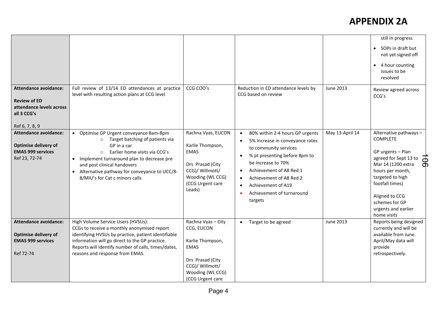|                                                                                                                  |                                                                                                                                                                                                                                                                                                                     |                                                                                                                                                    |                                                                                                                                                                                                                                                                                                                                                      |                 | still in progress                                                                                                                                                                                                                                                             |
|------------------------------------------------------------------------------------------------------------------|---------------------------------------------------------------------------------------------------------------------------------------------------------------------------------------------------------------------------------------------------------------------------------------------------------------------|----------------------------------------------------------------------------------------------------------------------------------------------------|------------------------------------------------------------------------------------------------------------------------------------------------------------------------------------------------------------------------------------------------------------------------------------------------------------------------------------------------------|-----------------|-------------------------------------------------------------------------------------------------------------------------------------------------------------------------------------------------------------------------------------------------------------------------------|
|                                                                                                                  |                                                                                                                                                                                                                                                                                                                     |                                                                                                                                                    |                                                                                                                                                                                                                                                                                                                                                      |                 | • SOPs in draft but<br>not yet signed off<br>• 4 hour counting<br>issues to be<br>resolved                                                                                                                                                                                    |
| <b>Attendance avoidance:</b><br><b>Review of ED</b><br>attendance levels across<br>all 3 CCG's<br>Ref 6, 7, 8, 9 | Full review of 13/14 ED attendances at practice<br>level with resulting action plans at CCG level                                                                                                                                                                                                                   | CCG COO's                                                                                                                                          | Reduction in ED attendance levels by<br>CCG based on review                                                                                                                                                                                                                                                                                          | June 2013       | Review agreed across<br>CCG's                                                                                                                                                                                                                                                 |
| <b>Attendance avoidance:</b><br>Optimise delivery of<br><b>EMAS 999 services</b><br>Ref 23, 72-74                | • Optimise GP Urgent conveyance 8am-8pm<br>Target batching of patients via<br>$\circ$<br>GP in a car<br>Earlier home visits via CCG's<br>$\Omega$<br>• Implement turnaround plan to decrease pre<br>and post clinical handovers<br>• Alternative pathway for conveyance to UCC/8-<br>8/MIU's for Cat c minors calls | Rachna Vyas, EUCON<br>Karlie Thompson,<br><b>EMAS</b><br>Drs Prasad (City<br>CCG)/ Willmott/<br>Wooding (WL CCG)<br>(CCG Urgent care<br>Leads)     | 80% within 2-4 hours GP urgents<br>$\bullet$<br>5% Increase in conveyance rates<br>$\bullet$<br>to community services<br>% pt presenting before 8pm to<br>$\bullet$<br>be increase to 70%<br>Achievement of A8 Red 1<br>$\bullet$<br>Achievement of A8 Red 2<br>$\bullet$<br>Achievement of A19<br>$\bullet$<br>Achievement of turnaround<br>targets | May 13-April 14 | Alternative pathways -<br><b>COMPLETE</b><br>GP urgents - Plan<br>agreed for Sept 13 to<br>$\overline{\mathsf{d}}$<br>Mar 14 (1200 extra<br>hours per month,<br>targeted to high<br>footfall times)<br>Aligned to CCG<br>schemes for GP<br>urgents and earlier<br>home visits |
| <b>Attendance avoidance:</b><br><b>Optimise delivery of</b><br><b>EMAS 999 services</b><br>Ref 72-74             | High Volume Service Users (HVSUs):<br>CCGs to receive a monthly anonymised report<br>identifying HVSUs by practice, patient identifiable<br>information will go direct to the GP practice.<br>Reports will identify number of calls, times/dates,<br>reasons and response from EMAS.                                | Rachna Vyas - City<br>CCG, EUCON<br>Karlie Thompson,<br><b>EMAS</b><br>Drs Prasad (City<br>CCG)/ Willmott/<br>Wooding (WL CCG)<br>(CCG Urgent care | Target to be agreed<br>$\bullet$                                                                                                                                                                                                                                                                                                                     | June 2013       | Reports being designed<br>currently and will be<br>available from June.<br>April/May data will<br>provide<br>retrospectively.                                                                                                                                                 |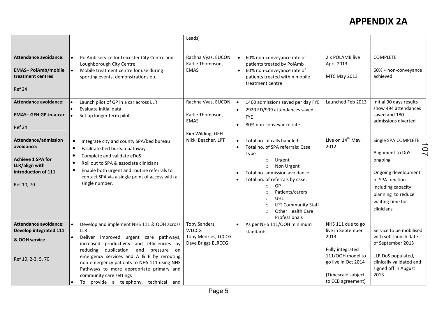|                                                                                                                       |                                                                                                                                                                                                                                                                                                                                                                                                   | Leads)                                                                     |                                                                                                                                                                                                                                                                                                                                                                            |                                                                                                                                                          |                                                                                                                                                                                              |
|-----------------------------------------------------------------------------------------------------------------------|---------------------------------------------------------------------------------------------------------------------------------------------------------------------------------------------------------------------------------------------------------------------------------------------------------------------------------------------------------------------------------------------------|----------------------------------------------------------------------------|----------------------------------------------------------------------------------------------------------------------------------------------------------------------------------------------------------------------------------------------------------------------------------------------------------------------------------------------------------------------------|----------------------------------------------------------------------------------------------------------------------------------------------------------|----------------------------------------------------------------------------------------------------------------------------------------------------------------------------------------------|
| <b>Attendance avoidance:</b><br><b>EMAS-PolAmb/mobile</b><br>treatment centres<br>Ref 24                              | PolAmb service for Leicester City Centre and<br>Loughborough City Centre<br>Mobile treatment centre for use during<br>sporting events, demonstrations etc.                                                                                                                                                                                                                                        | Rachna Vyas, EUCON<br>Karlie Thompson,<br><b>EMAS</b>                      | 60% non-conveyance rate of<br>patients treated by PolAmb<br>60% non-conveyance rate of<br>$\bullet$<br>patients treated within mobile<br>treatment centre                                                                                                                                                                                                                  | 2 x POLAMB live<br>April 2013<br>MTC May 2013                                                                                                            | <b>COMPLETE</b><br>60% + non-conveyance<br>achieved                                                                                                                                          |
| <b>Attendance avoidance:</b><br><b>EMAS-GEH GP-in-a-car</b><br>Ref 24                                                 | Launch pilot of GP in a car across LLR<br>Evaluate initial data<br>Set up longer term pilot                                                                                                                                                                                                                                                                                                       | Rachna Vyas, EUCON<br>Karlie Thompson,<br><b>EMAS</b><br>Kim Wilding, GEH  | 1460 admissions saved per day FYE<br>ه ا<br>2920 ED/999 attendances saved<br><b>FYE</b><br>80% non-conveyance rate                                                                                                                                                                                                                                                         | Launched Feb 2013                                                                                                                                        | Initial 90 days results<br>show 494 attendances<br>saved and 180<br>admissions diverted                                                                                                      |
| Attendance/admission<br>avoidance:<br><b>Achieve 1 SPA for</b><br>LLR/align with<br>introduction of 111<br>Ref 10, 70 | $\bullet$<br>Integrate city and county SPA/bed bureau<br>Facilitate bed bureau pathway<br>$\bullet$<br>Complete and validate eDoS<br>$\bullet$<br>Roll out to SPA & associate clinicians<br>$\bullet$<br>Enable both urgent and routine referrals to<br>$\bullet$<br>contact SPA via a single point of access with a<br>single number.                                                            | Nikki Beacher, LPT                                                         | Total no. of calls handled<br>$\bullet$<br>Total no. of SPA referrals: Case<br>$\bullet$<br>Type<br>Urgent<br>$\circ$<br>Non Urgent<br>$\circ$<br>Total no. admission avoidance<br>Total no. of referrals by case:<br>GP<br>$\Omega$<br>Patients/carers<br>$\circ$<br><b>UHL</b><br>$\circ$<br><b>LPT Community Staff</b><br>$\circ$<br>Other Health Care<br>Professionals | Live on 14 <sup>th</sup> May<br>2012                                                                                                                     | Single SPA COMPLETE<br>$\overline{O}$<br>Alignment to DoS<br>ongoing<br>Ongoing development<br>of SPA function<br>including capacity<br>planning to reduce<br>waiting time for<br>clinicians |
| <b>Attendance avoidance:</b><br>Develop integrated 111<br>& OOH service<br>Ref 10, 2-3, 5, 70                         | Develop and implement NHS 111 & OOH across<br>LLR<br>Deliver improved urgent care pathways,<br>increased productivity and efficiencies by<br>reducing duplication, and<br>pressure on<br>emergency services and A & E by rerouting<br>non-emergency patients to NHS 111 using NHS<br>Pathways to more appropriate primary and<br>community care settings<br>To provide a telephony, technical and | Toby Sanders,<br><b>WLCCG</b><br>Tony Menzies, LCCCG<br>Dave Briggs ELRCCG | As per NHS 111/OOH minimum<br>standards                                                                                                                                                                                                                                                                                                                                    | NHS 111 due to go<br>live in September<br>2013<br>Fully integrated<br>111/00H model to<br>go live in Oct 2014<br>(Timescale subject<br>to CCB agreement) | Service to be mobilised<br>with soft launch date<br>of September 2013<br>LLR DoS populated,<br>clinically validated and<br>signed off in August<br>2013                                      |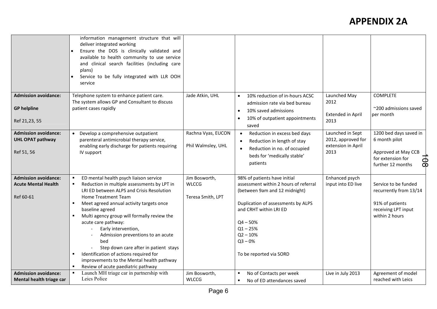|                                                                        | information management structure that will<br>deliver integrated working<br>Ensure the DOS is clinically validated and<br>available to health community to use service<br>and clinical search facilities (including care<br>plans)<br>Service to be fully integrated with LLR OOH<br>service                                                                                                                                                                                                                                            |                                                    |                                                                                                                                                                                                                                                          |                                                                      |                                                                                                                            |
|------------------------------------------------------------------------|-----------------------------------------------------------------------------------------------------------------------------------------------------------------------------------------------------------------------------------------------------------------------------------------------------------------------------------------------------------------------------------------------------------------------------------------------------------------------------------------------------------------------------------------|----------------------------------------------------|----------------------------------------------------------------------------------------------------------------------------------------------------------------------------------------------------------------------------------------------------------|----------------------------------------------------------------------|----------------------------------------------------------------------------------------------------------------------------|
| <b>Admission avoidance:</b><br><b>GP</b> helpline<br>Ref 21,23, 55     | Telephone system to enhance patient care.<br>The system allows GP and Consultant to discuss<br>patient cases rapidly                                                                                                                                                                                                                                                                                                                                                                                                                    | Jade Atkin, UHL                                    | 10% reduction of in-hours ACSC<br>$\bullet$<br>admission rate via bed bureau<br>10% saved admissions<br>$\bullet$<br>10% of outpatient appointments<br>$\bullet$                                                                                         | Launched May<br>2012<br><b>Extended in April</b><br>2013             | <b>COMPLETE</b><br>~200 admissions saved<br>per month                                                                      |
| <b>Admission avoidance:</b><br><b>UHL OPAT pathway</b><br>Ref 51, 56   | Develop a comprehensive outpatient<br>$\bullet$<br>parenteral antimicrobial therapy service,<br>enabling early discharge for patients requiring<br>IV support                                                                                                                                                                                                                                                                                                                                                                           | Rachna Vyas, EUCON<br>Phil Walmsley, UHL           | saved<br>Reduction in excess bed days<br>$\bullet$<br>Reduction in length of stay<br>Reduction in no. of occupied<br>beds for 'medically stable'<br>patients                                                                                             | Launched in Sept<br>2012, approved for<br>extension in April<br>2013 | 1200 bed days saved in<br>6 month pilot<br>Approved at May CCB<br>$\overline{9}$<br>for extension for<br>further 12 months |
| <b>Admission avoidance:</b><br><b>Acute Mental Health</b><br>Ref 60-61 | ED mental health psych liaison service<br>Reduction in multiple assessments by LPT in<br>LRI ED between ALPS and Crisis Resolution<br>Home Treatment Team<br>Meet agreed annual activity targets once<br>baseline agreed<br>Multi agency group will formally review the<br>acute care pathway:<br>Early intervention,<br>Admission preventions to an acute<br>bed<br>Step down care after in patient stays<br>Identification of actions required for<br>improvements to the Mental health pathway<br>Review of acute paediatric pathway | Jim Bosworth,<br><b>WLCCG</b><br>Teresa Smith, LPT | 98% of patients have initial<br>assessment within 2 hours of referral<br>(between 9am and 12 midnight)<br>Duplication of assessments by ALPS<br>and CRHT within LRI ED<br>$Q4 - 50%$<br>$Q1 - 25%$<br>$Q2 - 10%$<br>$Q3 - 0%$<br>To be reported via SORD | Enhanced psych<br>input into ED live                                 | Service to be funded<br>recurrently from 13/14<br>91% of patients<br>receiving LPT input<br>within 2 hours                 |
| <b>Admission avoidance:</b><br>Mental health triage car                | Launch MH triage car in partnership with<br>Leics Police                                                                                                                                                                                                                                                                                                                                                                                                                                                                                | Jim Bosworth,<br><b>WLCCG</b>                      | No of Contacts per week<br>$\blacksquare$<br>No of ED attendances saved<br>$\blacksquare$                                                                                                                                                                | Live in July 2013                                                    | Agreement of model<br>reached with Leics                                                                                   |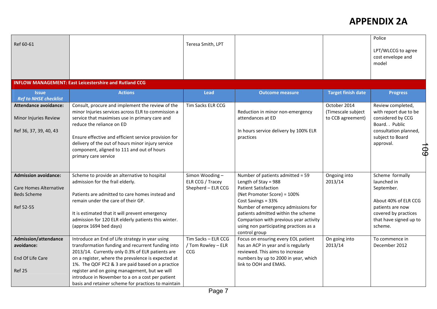| Ref 60-61                                                                                       |                                                                                                                                                                                                                                                                                                                                                                                                                                | Teresa Smith, LPT                                        |                                                                                                                                                                                                                                                                                                                                  |                                                         | Police<br>LPT/WLCCG to agree<br>cost envelope and<br>model                                                                                                 |
|-------------------------------------------------------------------------------------------------|--------------------------------------------------------------------------------------------------------------------------------------------------------------------------------------------------------------------------------------------------------------------------------------------------------------------------------------------------------------------------------------------------------------------------------|----------------------------------------------------------|----------------------------------------------------------------------------------------------------------------------------------------------------------------------------------------------------------------------------------------------------------------------------------------------------------------------------------|---------------------------------------------------------|------------------------------------------------------------------------------------------------------------------------------------------------------------|
|                                                                                                 | <b>INFLOW MANAGEMENT: East Leicestershire and Rutland CCG</b>                                                                                                                                                                                                                                                                                                                                                                  |                                                          |                                                                                                                                                                                                                                                                                                                                  |                                                         |                                                                                                                                                            |
| <b>Issue</b><br><b>Ref to NHSE checklist</b>                                                    | <b>Actions</b>                                                                                                                                                                                                                                                                                                                                                                                                                 | <b>Lead</b>                                              | <b>Outcome measure</b>                                                                                                                                                                                                                                                                                                           | <b>Target finish date</b>                               | <b>Progress</b>                                                                                                                                            |
| <b>Attendance avoidance:</b><br>Minor Injuries Review<br>Ref 36, 37, 39, 40, 43                 | Consult, procure and implement the review of the<br>minor Injuries services across ELR to commission a<br>service that maximises use in primary care and<br>reduce the reliance on ED<br>Ensure effective and efficient service provision for<br>delivery of the out of hours minor injury service<br>component, aligned to 111 and out of hours<br>primary care service                                                       | Tim Sacks ELR CCG                                        | Reduction in minor non-emergency<br>attendances at ED<br>In hours service delivery by 100% ELR<br>practices                                                                                                                                                                                                                      | October 2014<br>(Timescale subject<br>to CCB agreement) | Review completed,<br>with report due to be<br>considered by CCG<br>Board. . Public<br>consultation planned,<br>subject to Board<br>approval.<br><b>LOS</b> |
| <b>Admission avoidance:</b><br><b>Care Homes Alternative</b><br><b>Beds Scheme</b><br>Ref 52-55 | Scheme to provide an alternative to hospital<br>admission for the frail elderly.<br>Patients are admitted to care homes instead and<br>remain under the care of their GP.<br>It is estimated that it will prevent emergency<br>admission for 120 ELR elderly patients this winter.<br>(approx 1694 bed days)                                                                                                                   | Simon Wooding-<br>ELR CCG / Tracey<br>Shepherd - ELR CCG | Number of patients admitted = 59<br>Length of Stay = $988$<br><b>Patient Satisfaction</b><br>(Net Promoter Score) = 100%<br>Cost Savings = 33%<br>Number of emergency admissions for<br>patients admitted within the scheme<br>Comparison with previous year activity<br>using non participating practices as a<br>control group | Ongoing into<br>2013/14                                 | Scheme formally<br>launched in<br>September.<br>About 40% of ELR CCG<br>patients are now<br>covered by practices<br>that have signed up to<br>scheme.      |
| <b>Admission/attendance</b><br>avoidance:<br>End Of Life Care<br><b>Ref 25</b>                  | Introduce an End of Life strategy in year using<br>transformation funding and recurrent funding into<br>2013/14. Currently only 0.3% of ELR patients are<br>on a register, where the prevalence is expected at<br>1%. The QOF PC2 & 3 are paid based on a practice<br>register and on going management, but we will<br>introduce in November to a on a cost per patient<br>basis and retainer scheme for practices to maintain | Tim Sacks - ELR CCG<br>/ Tom Rowley - ELR<br><b>CCG</b>  | Focus on ensuring every EOL patient<br>has an ACP in year and is regularly<br>reviewed. This aims to increase<br>numbers by up to 2000 in year, which<br>link to OOH and EMAS.                                                                                                                                                   | On going into<br>2013/14                                | To commence in<br>December 2012                                                                                                                            |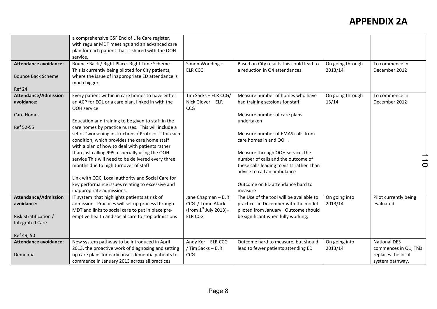|                              | a comprehensive GSF End of Life Care register,       |                         |                                           |                  |                       |
|------------------------------|------------------------------------------------------|-------------------------|-------------------------------------------|------------------|-----------------------|
|                              | with regular MDT meetings and an advanced care       |                         |                                           |                  |                       |
|                              | plan for each patient that is shared with the OOH    |                         |                                           |                  |                       |
|                              | service.                                             |                         |                                           |                  |                       |
| Attendance avoidance:        | Bounce Back / Right Place- Right Time Scheme.        | Simon Wooding-          | Based on City results this could lead to  | On going through | To commence in        |
|                              | This is currently being piloted for City patients,   | <b>ELR CCG</b>          | a reduction in Q4 attendances             | 2013/14          | December 2012         |
| <b>Bounce Back Scheme</b>    | where the issue of inappropriate ED attendance is    |                         |                                           |                  |                       |
|                              | much bigger.                                         |                         |                                           |                  |                       |
| Ref 24                       |                                                      |                         |                                           |                  |                       |
| <b>Attendance/Admission</b>  | Every patient within in care homes to have either    | Tim Sacks - ELR CCG/    | Measure number of homes who have          | On going through | To commence in        |
| avoidance:                   | an ACP for EOL or a care plan, linked in with the    | Nick Glover - ELR       | had training sessions for staff           | 13/14            | December 2012         |
|                              | OOH service                                          | CCG                     |                                           |                  |                       |
| <b>Care Homes</b>            |                                                      |                         | Measure number of care plans              |                  |                       |
|                              | Education and training to be given to staff in the   |                         | undertaken                                |                  |                       |
| Ref 52-55                    | care homes by practice nurses. This will include a   |                         |                                           |                  |                       |
|                              | set of "worsening instructions / Protocols" for each |                         | Measure number of EMAS calls from         |                  |                       |
|                              | condition, which provides the care home staff        |                         | care homes in and OOH.                    |                  |                       |
|                              | with a plan of how to deal with patients rather      |                         |                                           |                  |                       |
|                              | than just calling 999, especially using the OOH      |                         | Measure through OOH service, the          |                  |                       |
|                              | service This will need to be delivered every three   |                         | number of calls and the outcome of        |                  |                       |
|                              | months due to high turnover of staff                 |                         | these calls leading to visits rather than |                  | $\frac{1}{4}$         |
|                              |                                                      |                         | advice to call an ambulance               |                  |                       |
|                              | Link with CQC, Local authority and Social Care for   |                         |                                           |                  |                       |
|                              | key performance issues relating to excessive and     |                         | Outcome on ED attendance hard to          |                  |                       |
|                              | inappropriate admissions.                            |                         | measure                                   |                  |                       |
| <b>Attendance/Admission</b>  | IT system that highlights patients at risk of        | Jane Chapman - ELR      | The Use of the tool will be available to  | On going into    | Pilot currently being |
| avoidance:                   | admission. Practices will set up process through     | CCG / Tome Atack        | practices in December with the model      | 2013/14          | evaluated             |
|                              | MDT and links to social care to put in place pre-    | (from $1st$ July 2013)– | piloted from January. Outcome should      |                  |                       |
| Risk Stratification /        | emptive health and social care to stop admissions    | <b>ELR CCG</b>          | be significant when fully working,        |                  |                       |
| <b>Integrated Care</b>       |                                                      |                         |                                           |                  |                       |
|                              |                                                      |                         |                                           |                  |                       |
| Ref 49, 50                   |                                                      |                         |                                           |                  |                       |
| <b>Attendance avoidance:</b> | New system pathway to be introduced in April         | Andy Ker - ELR CCG      | Outcome hard to measure, but should       | On going into    | <b>National DES</b>   |
|                              | 2013, the proactive work of diagnosing and setting   | / Tim Sacks - ELR       | lead to fewer patients attending ED       | 2013/14          | commences in Q1, This |
| Dementia                     | up care plans for early onset dementia patients to   | <b>CCG</b>              |                                           |                  | replaces the local    |
|                              | commence in January 2013 across all practices        |                         |                                           |                  | system pathway.       |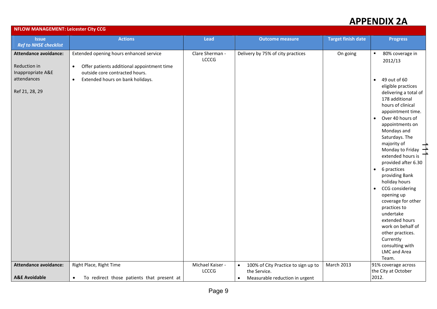|                                                    | <b>NFLOW MANAGEMENT: Leicester City CCG</b>                                                        |                           |                                                                  |                           |                                                                                                                                                                                                                                                                                                                                                                                                                                                                                                                                                                                                   |  |  |
|----------------------------------------------------|----------------------------------------------------------------------------------------------------|---------------------------|------------------------------------------------------------------|---------------------------|---------------------------------------------------------------------------------------------------------------------------------------------------------------------------------------------------------------------------------------------------------------------------------------------------------------------------------------------------------------------------------------------------------------------------------------------------------------------------------------------------------------------------------------------------------------------------------------------------|--|--|
| <b>Issue</b><br><b>Ref to NHSE checklist</b>       | <b>Actions</b>                                                                                     | <b>Lead</b>               | <b>Outcome measure</b>                                           | <b>Target finish date</b> | <b>Progress</b>                                                                                                                                                                                                                                                                                                                                                                                                                                                                                                                                                                                   |  |  |
| Attendance avoidance:<br>Reduction in              | Extended opening hours enhanced service<br>Offer patients additional appointment time<br>$\bullet$ | Clare Sherman -<br>LCCCG  | Delivery by 75% of city practices                                | On going                  | 80% coverage in<br>$\blacksquare$<br>2012/13                                                                                                                                                                                                                                                                                                                                                                                                                                                                                                                                                      |  |  |
| Inappropriate A&E<br>attendances<br>Ref 21, 28, 29 | outside core contracted hours.<br>Extended hours on bank holidays.<br>$\bullet$                    |                           |                                                                  |                           | 49 out of 60<br>$\bullet$<br>eligible practices<br>delivering a total of<br>178 additional<br>hours of clinical<br>appointment time.<br>Over 40 hours of<br>$\bullet$<br>appointments on<br>Mondays and<br>Saturdays. The<br>majority of<br>Monday to Friday $\rightarrow$<br>extended hours is<br>provided after 6.30<br>6 practices<br>$\bullet$<br>providing Bank<br>holiday hours<br>CCG considering<br>$\bullet$<br>opening up<br>coverage for other<br>practices to<br>undertake<br>extended hours<br>work on behalf of<br>other practices.<br>Currently<br>consulting with<br>LMC and Area |  |  |
| Attendance avoidance:<br><b>A&amp;E Avoidable</b>  | Right Place, Right Time<br>To redirect those patients that present at                              | Michael Kaiser -<br>LCCCG | 100% of City Practice to sign up to<br>$\bullet$<br>the Service. | March 2013                | Team.<br>91% coverage across<br>the City at October<br>2012.                                                                                                                                                                                                                                                                                                                                                                                                                                                                                                                                      |  |  |
|                                                    | $\bullet$                                                                                          |                           | Measurable reduction in urgent<br>$\bullet$                      |                           |                                                                                                                                                                                                                                                                                                                                                                                                                                                                                                                                                                                                   |  |  |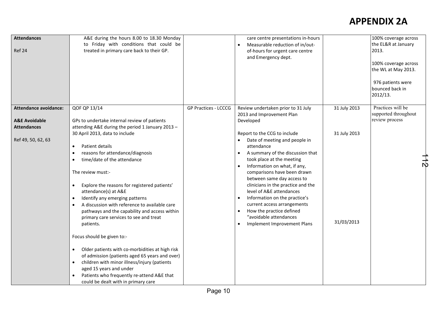| <b>Attendances</b><br>Ref 24                                                   | A&E during the hours 8.00 to 18.30 Monday<br>to Friday with conditions that could be<br>treated in primary care back to their GP.                                                                                                                                                                                                                                                                                                          |                      | care centre presentations in-hours<br>Measurable reduction of in/out-<br>of-hours for urgent care centre<br>and Emergency dept.                                                                                                                                                                                                                                                                                                                                                                                                   |                            | 100% coverage across<br>the EL&R at January<br>2013.<br>100% coverage across<br>the WL at May 2013.<br>976 patients were<br>bounced back in<br>2012/13. |
|--------------------------------------------------------------------------------|--------------------------------------------------------------------------------------------------------------------------------------------------------------------------------------------------------------------------------------------------------------------------------------------------------------------------------------------------------------------------------------------------------------------------------------------|----------------------|-----------------------------------------------------------------------------------------------------------------------------------------------------------------------------------------------------------------------------------------------------------------------------------------------------------------------------------------------------------------------------------------------------------------------------------------------------------------------------------------------------------------------------------|----------------------------|---------------------------------------------------------------------------------------------------------------------------------------------------------|
| <b>Attendance avoidance:</b><br><b>A&amp;E Avoidable</b><br><b>Attendances</b> | QOF QP 13/14<br>GPs to undertake internal review of patients<br>attending A&E during the period 1 January 2013 -                                                                                                                                                                                                                                                                                                                           | GP Practices - LCCCG | Review undertaken prior to 31 July<br>2013 and Improvement Plan<br>Developed                                                                                                                                                                                                                                                                                                                                                                                                                                                      | 31 July 2013               | Practices will be<br>supported throughout<br>review process                                                                                             |
| Ref 49, 50, 62, 63                                                             | 30 April 2013, data to include<br>Patient details<br>reasons for attendance/diagnosis<br>time/date of the attendance<br>The review must:-<br>Explore the reasons for registered patients'<br>attendance(s) at A&E<br>Identify any emerging patterns<br>A discussion with reference to available care<br>pathways and the capability and access within<br>primary care services to see and treat<br>patients.<br>Focus should be given to:- |                      | Report to the CCG to include<br>Date of meeting and people in<br>attendance<br>A summary of the discussion that<br>$\bullet$<br>took place at the meeting<br>Information on what, if any,<br>$\bullet$<br>comparisons have been drawn<br>between same day access to<br>clinicians in the practice and the<br>level of A&E attendances<br>Information on the practice's<br>$\bullet$<br>current access arrangements<br>How the practice defined<br>$\bullet$<br>"avoidable attendances<br>Implement Improvement Plans<br>$\bullet$ | 31 July 2013<br>31/03/2013 | 冗                                                                                                                                                       |
|                                                                                | Older patients with co-morbidities at high risk<br>$\bullet$<br>of admission (patients aged 65 years and over)<br>children with minor illness/injury (patients<br>aged 15 years and under<br>Patients who frequently re-attend A&E that<br>could be dealt with in primary care                                                                                                                                                             |                      |                                                                                                                                                                                                                                                                                                                                                                                                                                                                                                                                   |                            |                                                                                                                                                         |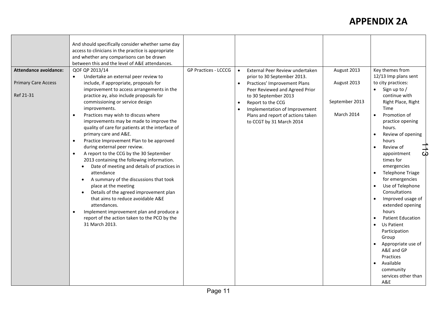|                            | And should specifically consider whether same day<br>access to clinicians in the practice is appropriate<br>and whether any comparisons can be drawn<br>between this and the level of A&E attendances.                                                                                                                                                                                                                                                                                                                                                                                                                                                                                                                                                                                                                                                    |                             |                                                                                                                                                                       |                              |                                                                                                                                                                                                                                                                                                                                                                                                              |
|----------------------------|-----------------------------------------------------------------------------------------------------------------------------------------------------------------------------------------------------------------------------------------------------------------------------------------------------------------------------------------------------------------------------------------------------------------------------------------------------------------------------------------------------------------------------------------------------------------------------------------------------------------------------------------------------------------------------------------------------------------------------------------------------------------------------------------------------------------------------------------------------------|-----------------------------|-----------------------------------------------------------------------------------------------------------------------------------------------------------------------|------------------------------|--------------------------------------------------------------------------------------------------------------------------------------------------------------------------------------------------------------------------------------------------------------------------------------------------------------------------------------------------------------------------------------------------------------|
| Attendance avoidance:      | QOF QP 2013/14<br>Undertake an external peer review to<br>$\bullet$                                                                                                                                                                                                                                                                                                                                                                                                                                                                                                                                                                                                                                                                                                                                                                                       | <b>GP Practices - LCCCG</b> | External Peer Review undertaken<br>prior to 30 September 2013.                                                                                                        | August 2013                  | Key themes from<br>12/13 Imp plans sent                                                                                                                                                                                                                                                                                                                                                                      |
| <b>Primary Care Access</b> | include, if appropriate, proposals for<br>improvement to access arrangements in the                                                                                                                                                                                                                                                                                                                                                                                                                                                                                                                                                                                                                                                                                                                                                                       |                             | Practices' Improvement Plans<br>$\bullet$<br>Peer Reviewed and Agreed Prior                                                                                           | August 2013                  | to city practices:<br>Sign up to /<br>$\bullet$                                                                                                                                                                                                                                                                                                                                                              |
| Ref 21-31                  | practice ay, also include proposals for<br>commissioning or service design<br>improvements.<br>Practices may wish to discuss where<br>$\bullet$<br>improvements may be made to improve the<br>quality of care for patients at the interface of<br>primary care and A&E.<br>Practice Improvement Plan to be approved<br>$\bullet$<br>during external peer review.<br>A report to the CCG by the 30 September<br>$\bullet$<br>2013 containing the following information.<br>Date of meeting and details of practices in<br>$\bullet$<br>attendance<br>A summary of the discussions that took<br>$\bullet$<br>place at the meeting<br>Details of the agreed improvement plan<br>that aims to reduce avoidable A&E<br>attendances.<br>Implement improvement plan and produce a<br>$\bullet$<br>report of the action taken to the PCO by the<br>31 March 2013. |                             | to 30 September 2013<br>Report to the CCG<br>$\bullet$<br>Implementation of Improvement<br>$\bullet$<br>Plans and report of actions taken<br>to CCGT by 31 March 2014 | September 2013<br>March 2014 | continue with<br>Right Place, Right<br>Time<br>Promotion of<br>practice opening<br>hours.<br>Review of opening<br>hours<br>Review of<br>ळ<br>appointment<br>times for<br>emergencies<br>Telephone Triage<br>for emergencies<br>Use of Telephone<br>Consultations<br>Improved usage of<br>extended opening<br>hours<br><b>Patient Education</b><br>Us Patient<br>Participation<br>Group<br>Appropriate use of |
|                            |                                                                                                                                                                                                                                                                                                                                                                                                                                                                                                                                                                                                                                                                                                                                                                                                                                                           |                             |                                                                                                                                                                       |                              | A&E and GP<br>Practices<br>Available<br>community<br>services other than<br>A&E                                                                                                                                                                                                                                                                                                                              |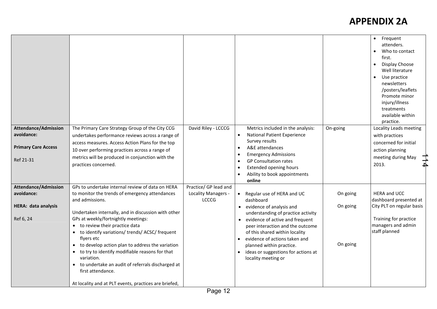|                             |                                                                                 |                                            |                                                                    |          | • Frequent<br>attenders.<br>Who to contact<br>first.<br>Display Choose<br>Well literature<br>Use practice<br>newsletters<br>/posters/leaflets<br>Promote minor<br>injury/illness<br>treatments<br>available within<br>practice. |
|-----------------------------|---------------------------------------------------------------------------------|--------------------------------------------|--------------------------------------------------------------------|----------|---------------------------------------------------------------------------------------------------------------------------------------------------------------------------------------------------------------------------------|
| <b>Attendance/Admission</b> | The Primary Care Strategy Group of the City CCG                                 | David Riley - LCCCG                        | Metrics included in the analysis:                                  | On-going | Locality Leads meeting                                                                                                                                                                                                          |
| avoidance:                  | undertakes performance reviews across a range of                                |                                            | <b>National Patient Experience</b><br>$\bullet$                    |          | with practices                                                                                                                                                                                                                  |
| <b>Primary Care Access</b>  | access measures. Access Action Plans for the top                                |                                            | Survey results<br>A&E attendances<br>$\bullet$                     |          | concerned for initial                                                                                                                                                                                                           |
|                             | 10 over performing practices across a range of                                  |                                            | <b>Emergency Admissions</b><br>$\bullet$                           |          | action planning                                                                                                                                                                                                                 |
| Ref 21-31                   | metrics will be produced in conjunction with the<br>practices concerned.        |                                            | <b>GP Consultation rates</b><br>$\bullet$                          |          | meeting during May<br>┪┙<br>2013.                                                                                                                                                                                               |
|                             |                                                                                 |                                            | <b>Extended opening hours</b><br>$\bullet$                         |          |                                                                                                                                                                                                                                 |
|                             |                                                                                 |                                            | Ability to book appointments<br>$\bullet$<br>online                |          |                                                                                                                                                                                                                                 |
| <b>Attendance/Admission</b> | GPs to undertake internal review of data on HERA                                | Practice/ GP lead and                      |                                                                    |          |                                                                                                                                                                                                                                 |
| avoidance:                  | to monitor the trends of emergency attendances                                  | <b>Locality Managers -</b><br><b>LCCCG</b> | Regular use of HERA and UC                                         | On going | <b>HERA and UCC</b>                                                                                                                                                                                                             |
| HERA: data analysis         | and admissions.                                                                 |                                            | dashboard<br>evidence of analysis and                              | On going | dashboard presented at<br>City PLT on regular basis                                                                                                                                                                             |
|                             | Undertaken internally, and in discussion with other                             |                                            | understanding of practice activity                                 |          |                                                                                                                                                                                                                                 |
| Ref 6, 24                   | GPs at weekly/fortnightly meetings:                                             |                                            | evidence of active and frequent<br>$\bullet$                       |          | Training for practice                                                                                                                                                                                                           |
|                             | to review their practice data<br>to identify variations/ trends/ ACSC/ frequent |                                            | peer interaction and the outcome<br>of this shared within locality |          | managers and admin<br>staff planned                                                                                                                                                                                             |
|                             | flyers etc                                                                      |                                            | evidence of actions taken and<br>$\bullet$                         |          |                                                                                                                                                                                                                                 |
|                             | to develop action plan to address the variation<br>$\bullet$                    |                                            | planned within practice.                                           | On going |                                                                                                                                                                                                                                 |
|                             | to try to identify modifiable reasons for that                                  |                                            | ideas or suggestions for actions at<br>$\bullet$                   |          |                                                                                                                                                                                                                                 |
|                             | variation.<br>to undertake an audit of referrals discharged at                  |                                            | locality meeting or                                                |          |                                                                                                                                                                                                                                 |
|                             | first attendance.                                                               |                                            |                                                                    |          |                                                                                                                                                                                                                                 |
|                             | At locality and at PLT events, practices are briefed,                           |                                            |                                                                    |          |                                                                                                                                                                                                                                 |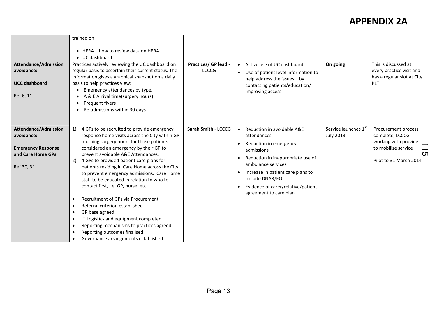|                                           | trained on                                                                                                                                                    |                                      |                                                                                                                               |                                          |                                                                                |
|-------------------------------------------|---------------------------------------------------------------------------------------------------------------------------------------------------------------|--------------------------------------|-------------------------------------------------------------------------------------------------------------------------------|------------------------------------------|--------------------------------------------------------------------------------|
|                                           |                                                                                                                                                               |                                      |                                                                                                                               |                                          |                                                                                |
|                                           | $\bullet$ HERA - how to review data on HERA<br>$\bullet$ UC dashboard                                                                                         |                                      |                                                                                                                               |                                          |                                                                                |
| <b>Attendance/Admission</b><br>avoidance: | Practices actively reviewing the UC dashboard on<br>regular basis to ascertain their current status. The<br>information gives a graphical snapshot on a daily | Practices/ GP lead -<br><b>LCCCG</b> | Active use of UC dashboard<br>$\bullet$<br>Use of patient level information to<br>$\bullet$<br>help address the issues $-$ by | On going                                 | This is discussed at<br>every practice visit and<br>has a regular slot at City |
| <b>UCC dashboard</b>                      | basis to help practices view:                                                                                                                                 |                                      | contacting patients/education/                                                                                                |                                          | PLT                                                                            |
|                                           | Emergency attendances by type.                                                                                                                                |                                      | improving access.                                                                                                             |                                          |                                                                                |
| Ref 6, 11                                 | A & E Arrival time(surgery hours)<br>Frequent flyers                                                                                                          |                                      |                                                                                                                               |                                          |                                                                                |
|                                           | Re-admissions within 30 days                                                                                                                                  |                                      |                                                                                                                               |                                          |                                                                                |
|                                           |                                                                                                                                                               |                                      |                                                                                                                               |                                          |                                                                                |
|                                           |                                                                                                                                                               |                                      |                                                                                                                               |                                          |                                                                                |
| <b>Attendance/Admission</b><br>avoidance: | 4 GPs to be recruited to provide emergency<br>1)<br>response home visits across the City within GP                                                            | Sarah Smith - LCCCG                  | Reduction in avoidable A&E<br>$\bullet$<br>attendances.                                                                       | Service launches 1st<br><b>July 2013</b> | Procurement process<br>complete, LCCCG                                         |
|                                           | morning surgery hours for those patients                                                                                                                      |                                      | Reduction in emergency<br>$\bullet$                                                                                           |                                          | working with provider                                                          |
| <b>Emergency Response</b>                 | considered an emergency by their GP to                                                                                                                        |                                      | admissions                                                                                                                    |                                          | to mobilise service                                                            |
| and Care Home GPs                         | prevent avoidable A&E Attendances.                                                                                                                            |                                      | Reduction in inappropriate use of<br>$\bullet$                                                                                |                                          |                                                                                |
| Ref 30, 31                                | 4 GPs to provided patient care plans for<br>2)<br>patients residing in Care Home across the City                                                              |                                      | ambulance services                                                                                                            |                                          | Pilot to 31 March 2014                                                         |
|                                           | to prevent emergency admissions. Care Home<br>staff to be educated in relation to who to                                                                      |                                      | Increase in patient care plans to<br>$\bullet$<br>include DNAR/EOL                                                            |                                          |                                                                                |
|                                           | contact first, i.e. GP, nurse, etc.                                                                                                                           |                                      | Evidence of carer/relative/patient<br>$\bullet$<br>agreement to care plan                                                     |                                          |                                                                                |
|                                           | Recruitment of GPs via Procurement                                                                                                                            |                                      |                                                                                                                               |                                          |                                                                                |
|                                           | Referral criterion established                                                                                                                                |                                      |                                                                                                                               |                                          |                                                                                |
|                                           | GP base agreed                                                                                                                                                |                                      |                                                                                                                               |                                          |                                                                                |
|                                           | IT Logistics and equipment completed<br>$\bullet$                                                                                                             |                                      |                                                                                                                               |                                          |                                                                                |
|                                           | Reporting mechanisms to practices agreed<br>٠<br>Reporting outcomes finalised                                                                                 |                                      |                                                                                                                               |                                          |                                                                                |
|                                           | Governance arrangements established<br>$\bullet$                                                                                                              |                                      |                                                                                                                               |                                          |                                                                                |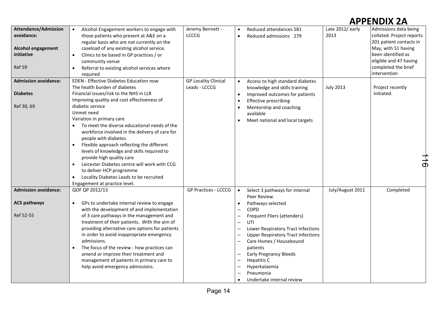| <b>Attendance/Admission</b><br>avoidance:<br><b>Alcohol engagement</b><br>initiative<br>Ref 59<br><b>Admission avoidance:</b><br><b>Diabetes</b><br>Ref 30, 69 | Alcohol Engagement workers to engage with<br>$\bullet$<br>those patients who present at A&E on a<br>regular basis who are not currently on the<br>caseload of any existing alcohol service.<br>Clinics to be based in GP practices / or<br>$\bullet$<br>community venue<br>Referral to existing alcohol services where<br>$\bullet$<br>required<br>EDEN - Effective Diabetes Education now<br>The health burden of diabetes<br>Financial issues/risk to the NHS in LLR<br>Improving quality and cost effectiveness of<br>diabetic service<br>Unmet need<br>Variation in primary care<br>To meet the diverse educational needs of the<br>workforce involved in the delivery of care for | Jeremy Bennett -<br><b>LCCCG</b><br><b>GP Locality Clinical</b><br>Leads - LCCCG | Reduced attendances 581<br>$\bullet$<br>Reduced admissions 279<br>$\bullet$<br>Access to high standard diabetes<br>$\bullet$<br>knowledge and skills training<br>Improved outcomes for patients<br>$\bullet$<br><b>Effective prescribing</b><br>$\bullet$<br>Mentorship and coaching<br>$\bullet$<br>available<br>Meet national and local targets                                                                                                                                                                                                                                                                                    | Late 2012/early<br>2013<br><b>July 2013</b> | Admissions data being<br>collated. Project reports<br>201 patient contacts in<br>May, with 51 having<br>been identified as<br>eligible and 47 having<br>completed the brief<br>intervention<br>Project recently<br>initiated. |
|----------------------------------------------------------------------------------------------------------------------------------------------------------------|----------------------------------------------------------------------------------------------------------------------------------------------------------------------------------------------------------------------------------------------------------------------------------------------------------------------------------------------------------------------------------------------------------------------------------------------------------------------------------------------------------------------------------------------------------------------------------------------------------------------------------------------------------------------------------------|----------------------------------------------------------------------------------|--------------------------------------------------------------------------------------------------------------------------------------------------------------------------------------------------------------------------------------------------------------------------------------------------------------------------------------------------------------------------------------------------------------------------------------------------------------------------------------------------------------------------------------------------------------------------------------------------------------------------------------|---------------------------------------------|-------------------------------------------------------------------------------------------------------------------------------------------------------------------------------------------------------------------------------|
|                                                                                                                                                                | people with diabetes<br>Flexible approach reflecting the different<br>levels of knowledge and skills required to<br>provide high quality care<br>Leicester Diabetes centre will work with CCG<br>$\bullet$<br>to deliver HCP programme<br>Locality Diabetes Leads to be recruited<br>$\bullet$<br>Engagement at practice level.                                                                                                                                                                                                                                                                                                                                                        |                                                                                  |                                                                                                                                                                                                                                                                                                                                                                                                                                                                                                                                                                                                                                      |                                             | $\frac{1}{9}$                                                                                                                                                                                                                 |
| <b>Admission avoidance:</b><br><b>ACS pathways</b><br>Ref 52-55                                                                                                | QOF QP 2012/13<br>GPs to undertake internal review to engage<br>$\bullet$<br>with the development of and implementation<br>of 3 care pathways in the management and<br>treatment of their patients. With the aim of<br>providing alternative care options for patients<br>in order to avoid inappropriate emergency<br>admissions.<br>The focus of the review - how practices can<br>$\bullet$<br>amend or improve their treatment and<br>management of patients in primary care to<br>help avoid emergency admissions.                                                                                                                                                                | <b>GP Practices - LCCCG</b>                                                      | Select 3 pathways for internal<br>$\bullet$<br>Peer Review.<br>Pathways selected<br>$\bullet$<br><b>COPD</b><br>$\overline{\phantom{m}}$<br>Frequent Fliers (attenders)<br>UTI<br>$\overline{\phantom{m}}$<br>Lower Respiratory Tract Infections<br>$\overline{\phantom{0}}$<br><b>Upper Respiratory Tract Infections</b><br>$\overline{\phantom{0}}$<br>Care Homes / Housebound<br>$\overline{\phantom{0}}$<br>patients<br><b>Early Pregnancy Bleeds</b><br>$\overline{\phantom{m}}$<br>Hepatitis C<br>$\overline{\phantom{0}}$<br>Hyperkalaemia<br>$\overline{\phantom{0}}$<br>Pneumonia<br>Undertake internal review<br>$\bullet$ | July/August 2011                            | Completed                                                                                                                                                                                                                     |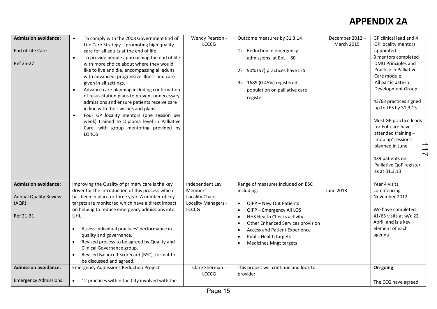| <b>Admission avoidance:</b>   | To comply with the 2008 Government End of<br>$\bullet$      | Wendy Pearson -     | Outcome measures by 31.3.14                    | December 2012-   | GP clinical lead and 4   |
|-------------------------------|-------------------------------------------------------------|---------------------|------------------------------------------------|------------------|--------------------------|
|                               | Life Care Strategy - promoting high quality                 | <b>LCCCG</b>        |                                                | March 2015       | GP locality mentors      |
| End of Life Care              | care for all adults at the end of life.                     |                     | Reduction in emergency<br><sup>1</sup>         |                  | appointed.               |
|                               | To provide people approaching the end of life<br>$\bullet$  |                     | admissions at EoL-80                           |                  | 3 mentors completed      |
| Ref 25-27                     | with more choice about where they would                     |                     |                                                |                  | DMU Principles and       |
|                               | like to live and die, encompassing all adults               |                     | 90% (57) practices have LES<br>2)              |                  | Practice in Palliative   |
|                               | with advanced, progressive illness and care                 |                     |                                                |                  | Care module.             |
|                               | given in all settings.                                      |                     | 1689 (0.45%) registered<br>3)                  |                  | All participate in       |
|                               | Advance care planning including confirmation<br>$\bullet$   |                     | population on palliative care                  |                  | Development Group        |
|                               | of resuscitation plans to prevent unnecessary               |                     | register                                       |                  |                          |
|                               | admissions and ensure patients receive care                 |                     |                                                |                  | 43/63 practices signed   |
|                               | in line with their wishes and plans.                        |                     |                                                |                  | up to LES by 31.3.13     |
|                               | Four GP locality mentors (one session per<br>$\bullet$      |                     |                                                |                  |                          |
|                               | week) trained to Diploma level in Palliative                |                     |                                                |                  | Most GP practice leads   |
|                               | Care, with group mentoring provided by                      |                     |                                                |                  | for EoL care have        |
|                               | LOROS                                                       |                     |                                                |                  | attended training-       |
|                               |                                                             |                     |                                                |                  | 'mop up' sessions        |
|                               |                                                             |                     |                                                |                  | planned in June          |
|                               |                                                             |                     |                                                |                  | 439 patients on          |
|                               |                                                             |                     |                                                |                  | Palliative QoF register  |
|                               |                                                             |                     |                                                |                  | as at 31.3.13            |
|                               |                                                             |                     |                                                |                  |                          |
| <b>Admission avoidance:</b>   | Improving the Quality of primary care is the key            | Independent Lay     | Range of measures included on BSC              |                  | Year 4 visits            |
|                               | driver for the introduction of this process which           | Members             | including:                                     | <b>June 2013</b> | commencing               |
| <b>Annual Quality Reviews</b> | has been in place or three year. A number of key            | Locality Chairs     |                                                |                  | November 2012.           |
| (AQR)                         | targets are monitored which have a direct impact            | Locality Managers - | QIPP - New Out Patients<br>$\bullet$           |                  |                          |
|                               | on helping to reduce emergency admissions into              | LCCCG               | QIPP - Emergency All LOS<br>$\bullet$          |                  | We have completed        |
| Ref 21-31                     | <b>UHL</b>                                                  |                     | NHS Health Checks activity<br>$\bullet$        |                  | $41/63$ visits at w/c 22 |
|                               |                                                             |                     | Other Enhanced Services provision<br>$\bullet$ |                  | April, and is a key      |
|                               | Assess individual practices' performance in                 |                     | Access and Patient Experience<br>$\bullet$     |                  | element of each          |
|                               | quality and governance.                                     |                     | <b>Public Health targets</b><br>$\bullet$      |                  | agenda                   |
|                               | Revised process to be agreed by Quality and<br>$\bullet$    |                     | <b>Medicines Mngt targets</b><br>$\bullet$     |                  |                          |
|                               | Clinical Governance group.                                  |                     |                                                |                  |                          |
|                               | Revised Balanced Scorecard (BSC), format to<br>$\bullet$    |                     |                                                |                  |                          |
|                               | be discussed and agreed.                                    |                     |                                                |                  |                          |
| <b>Admission avoidance:</b>   | <b>Emergency Admissions Reduction Project</b>               | Clare Sherman -     | This project will continue and look to         |                  | On-going                 |
|                               |                                                             | LCCCG               | provide:                                       |                  |                          |
| <b>Emergency Admissions</b>   | 12 practices within the City involved with the<br>$\bullet$ |                     |                                                |                  | The CCG have agreed      |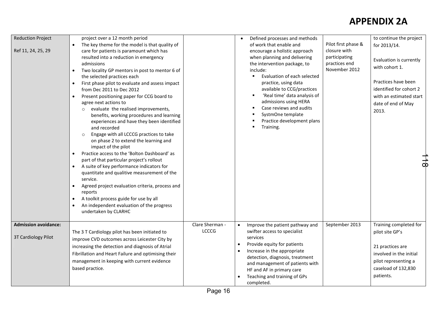| <b>Reduction Project</b><br>Ref 11, 24, 25, 29     | project over a 12 month period<br>The key theme for the model is that quality of<br>care for patients is paramount which has<br>resulted into a reduction in emergency<br>admissions<br>Two locality GP mentors in post to mentor 6 of<br>the selected practices each<br>First phase pilot to evaluate and assess impact<br>$\bullet$<br>from Dec 2011 to Dec 2012<br>Present positioning paper for CCG board to<br>agree next actions to<br>evaluate the realised improvements,<br>$\circ$<br>benefits, working procedures and learning<br>experiences and have they been identified<br>and recorded<br>Engage with all LCCCG practices to take<br>$\circ$<br>on phase 2 to extend the learning and<br>impact of the pilot<br>Practice access to the 'Bolton Dashboard' as<br>part of that particular project's rollout<br>A suite of key performance indicators for<br>quantitate and qualitive measurement of the<br>service.<br>Agreed project evaluation criteria, process and<br>$\bullet$<br>reports<br>A toolkit process guide for use by all<br>$\bullet$<br>An independent evaluation of the progress<br>undertaken by CLARHC |                                 | Defined processes and methods<br>of work that enable and<br>encourage a holistic approach<br>when planning and delivering<br>the intervention package, to<br>include:<br>Evaluation of each selected<br>practice, using data<br>available to CCG/practices<br>'Real time' data analysis of<br>٠<br>admissions using HERA<br>Case reviews and audits<br>SystmOne template<br>Practice development plans<br>Training. | Pilot first phase &<br>closure with<br>participating<br>practices end<br>November 2012 | to continue the project<br>for 2013/14.<br>Evaluation is currently<br>with cohort 1.<br>Practices have been<br>identified for cohort 2<br>with an estimated start<br>date of end of May<br>2013.<br>$\overline{d}$ |
|----------------------------------------------------|-----------------------------------------------------------------------------------------------------------------------------------------------------------------------------------------------------------------------------------------------------------------------------------------------------------------------------------------------------------------------------------------------------------------------------------------------------------------------------------------------------------------------------------------------------------------------------------------------------------------------------------------------------------------------------------------------------------------------------------------------------------------------------------------------------------------------------------------------------------------------------------------------------------------------------------------------------------------------------------------------------------------------------------------------------------------------------------------------------------------------------------------|---------------------------------|---------------------------------------------------------------------------------------------------------------------------------------------------------------------------------------------------------------------------------------------------------------------------------------------------------------------------------------------------------------------------------------------------------------------|----------------------------------------------------------------------------------------|--------------------------------------------------------------------------------------------------------------------------------------------------------------------------------------------------------------------|
| <b>Admission avoidance:</b><br>3T Cardiology Pilot | The 3 T Cardiology pilot has been initiated to<br>improve CVD outcomes across Leicester City by<br>increasing the detection and diagnosis of Atrial<br>Fibrillation and Heart Failure and optimising their<br>management in keeping with current evidence<br>based practice.                                                                                                                                                                                                                                                                                                                                                                                                                                                                                                                                                                                                                                                                                                                                                                                                                                                            | Clare Sherman -<br><b>LCCCG</b> | Improve the patient pathway and<br>swifter access to specialist<br>services<br>Provide equity for patients<br>$\bullet$<br>Increase in the appropriate<br>detection, diagnosis, treatment<br>and management of patients with<br>HF and AF in primary care<br>Teaching and training of GPs<br>completed.                                                                                                             | September 2013                                                                         | Training completed for<br>pilot site GP's<br>21 practices are<br>involved in the initial<br>pilot representing a<br>caseload of 132,830<br>patients.                                                               |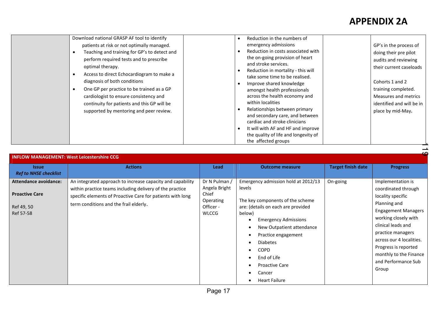|--|

| <b>INFLOW MANAGEMENT: West Leicestershire CCG</b>                                |                                                                                                                                                                                                                                |                                                                                   |                                                                                                                                                                                                                                                                                                                                  |                           |                                                                                                                                                                                                                                                                                              |
|----------------------------------------------------------------------------------|--------------------------------------------------------------------------------------------------------------------------------------------------------------------------------------------------------------------------------|-----------------------------------------------------------------------------------|----------------------------------------------------------------------------------------------------------------------------------------------------------------------------------------------------------------------------------------------------------------------------------------------------------------------------------|---------------------------|----------------------------------------------------------------------------------------------------------------------------------------------------------------------------------------------------------------------------------------------------------------------------------------------|
| <b>Issue</b><br><b>Ref to NHSE checklist</b>                                     | <b>Actions</b>                                                                                                                                                                                                                 | Lead                                                                              | <b>Outcome measure</b>                                                                                                                                                                                                                                                                                                           | <b>Target finish date</b> | <b>Progress</b>                                                                                                                                                                                                                                                                              |
| <b>Attendance avoidance:</b><br><b>Proactive Care</b><br>Ref 49, 50<br>Ref 57-58 | An integrated approach to increase capacity and capability<br>within practice teams including delivery of the practice<br>specific elements of Proactive Care for patients with long<br>term conditions and the frail elderly. | Dr N Pulman /<br>Angela Bright<br>Chief<br>Operating<br>Officer -<br><b>WLCCG</b> | Emergency admission hold at 2012/13<br>levels<br>The key components of the scheme<br>are: (details on each are provided<br>below)<br><b>Emergency Admissions</b><br>New Outpatient attendance<br>Practice engagement<br><b>Diabetes</b><br><b>COPD</b><br>End of Life<br><b>Proactive Care</b><br>Cancer<br><b>Heart Failure</b> | On-going                  | Implementation is<br>coordinated through<br>locality specific<br>Planning and<br><b>Engagement Managers</b><br>working closely with<br>clinical leads and<br>practice managers<br>across our 4 localities.<br>Progress is reported<br>monthly to the Finance<br>and Performance Sub<br>Group |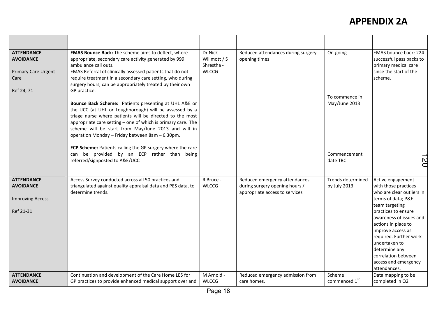| <b>ATTENDANCE</b><br><b>AVOIDANCE</b><br><b>Primary Care Urgent</b><br>Care   | <b>EMAS Bounce Back:</b> The scheme aims to deflect, where<br>appropriate, secondary care activity generated by 999<br>ambulance call outs.<br>EMAS Referral of clinically assessed patients that do not<br>require treatment in a secondary care setting, who during<br>surgery hours, can be appropriately treated by their own                                     | Dr Nick<br>Willmott / S<br>Shrestha -<br><b>WLCCG</b> | Reduced attendances during surgery<br>opening times                                               | On-going                          | EMAS bounce back: 224<br>successful pass backs to<br>primary medical care<br>since the start of the<br>scheme.                                                                                                                                                                                                                          |
|-------------------------------------------------------------------------------|-----------------------------------------------------------------------------------------------------------------------------------------------------------------------------------------------------------------------------------------------------------------------------------------------------------------------------------------------------------------------|-------------------------------------------------------|---------------------------------------------------------------------------------------------------|-----------------------------------|-----------------------------------------------------------------------------------------------------------------------------------------------------------------------------------------------------------------------------------------------------------------------------------------------------------------------------------------|
| Ref 24, 71                                                                    | GP practice.<br>Bounce Back Scheme: Patients presenting at UHL A&E or<br>the UCC (at UHL or Loughborough) will be assessed by a<br>triage nurse where patients will be directed to the most<br>appropriate care setting - one of which is primary care. The<br>scheme will be start from May/June 2013 and will in<br>operation Monday - Friday between 8am - 6.30pm. |                                                       |                                                                                                   | To commence in<br>May/June 2013   |                                                                                                                                                                                                                                                                                                                                         |
|                                                                               | ECP Scheme: Patients calling the GP surgery where the care<br>be provided by an ECP rather than being<br>can<br>referred/signposted to A&E/UCC                                                                                                                                                                                                                        |                                                       |                                                                                                   | Commencement<br>date TBC          | <b>N</b>                                                                                                                                                                                                                                                                                                                                |
| <b>ATTENDANCE</b><br><b>AVOIDANCE</b><br><b>Improving Access</b><br>Ref 21-31 | Access Survey conducted across all 50 practices and<br>triangulated against quality appraisal data and PES data, to<br>determine trends.                                                                                                                                                                                                                              | R Bruce -<br><b>WLCCG</b>                             | Reduced emergency attendances<br>during surgery opening hours /<br>appropriate access to services | Trends determined<br>by July 2013 | Active engagement<br>with those practices<br>who are clear outliers in<br>terms of data; P&E<br>team targeting<br>practices to ensure<br>awareness of issues and<br>actions in place to<br>improve access as<br>required. Further work<br>undertaken to<br>determine any<br>correlation between<br>access and emergency<br>attendances. |
| <b>ATTENDANCE</b><br><b>AVOIDANCE</b>                                         | Continuation and development of the Care Home LES for<br>GP practices to provide enhanced medical support over and                                                                                                                                                                                                                                                    | M Arnold -<br><b>WLCCG</b>                            | Reduced emergency admission from<br>care homes.                                                   | Scheme<br>commenced 1st           | Data mapping to be<br>completed in Q2                                                                                                                                                                                                                                                                                                   |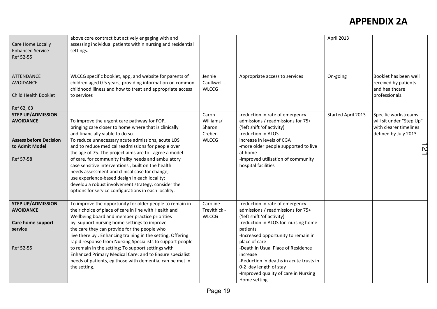| Care Home Locally<br><b>Enhanced Service</b><br>Ref 52-55                                                    | above core contract but actively engaging with and<br>assessing individual patients within nursing and residential<br>settings.                                                                                                                                                                                                                                                                                                                                                                                                                                                                                                            |                                                         |                                                                                                                                                                                                                                                                                                                                                                                              | April 2013         |                                                                                                         |
|--------------------------------------------------------------------------------------------------------------|--------------------------------------------------------------------------------------------------------------------------------------------------------------------------------------------------------------------------------------------------------------------------------------------------------------------------------------------------------------------------------------------------------------------------------------------------------------------------------------------------------------------------------------------------------------------------------------------------------------------------------------------|---------------------------------------------------------|----------------------------------------------------------------------------------------------------------------------------------------------------------------------------------------------------------------------------------------------------------------------------------------------------------------------------------------------------------------------------------------------|--------------------|---------------------------------------------------------------------------------------------------------|
| ATTENDANCE<br><b>AVOIDANCE</b><br>Child Health Booklet<br>Ref 62, 63                                         | WLCCG specific booklet, app, and website for parents of<br>children aged 0-5 years, providing information on common<br>childhood illness and how to treat and appropriate access<br>to services                                                                                                                                                                                                                                                                                                                                                                                                                                            | Jennie<br>Caulkwell -<br><b>WLCCG</b>                   | Appropriate access to services                                                                                                                                                                                                                                                                                                                                                               | On-going           | Booklet has been well<br>received by patients<br>and healthcare<br>professionals.                       |
| <b>STEP UP/ADMISSION</b><br><b>AVOIDANCE</b><br><b>Assess before Decision</b><br>to Admit Model<br>Ref 57-58 | To improve the urgent care pathway for FOP,<br>bringing care closer to home where that is clinically<br>and financially viable to do so.<br>To reduce unnecessary acute admissions, acute LOS<br>and to reduce medical readmissions for people over<br>the age of 75. The project aims are to: agree a model<br>of care, for community frailty needs and ambulatory<br>case sensitive interventions, built on the health<br>needs assessment and clinical case for change;<br>use experience-based design in each locality;<br>develop a robust involvement strategy; consider the<br>options for service configurations in each locality. | Caron<br>Williams/<br>Sharon<br>Creber-<br><b>WLCCG</b> | -reduction in rate of emergency<br>admissions / readmissions for 75+<br>('left shift 'of activity)<br>-reduction in ALOS<br>increase in levels of CGA<br>-more older people supported to live<br>at home<br>-improved utilisation of community<br>hospital facilities                                                                                                                        | Started April 2013 | Specific workstreams<br>will sit under "Step Up"<br>with clearer timelines<br>defined by July 2013<br>Ņ |
| <b>STEP UP/ADMISSION</b><br><b>AVOIDANCE</b><br>Care home support<br>service<br>Ref 52-55                    | To improve the opportunity for older people to remain in<br>their choice of place of care in line with Health and<br>Wellbeing board and member practice priorities<br>by support nursing home settings to improve<br>the care they can provide for the people who<br>live there by: Enhancing training in the setting; Offering<br>rapid response from Nursing Specialists to support people<br>to remain in the setting; To support settings with<br>Enhanced Primary Medical Care: and to Ensure specialist<br>needs of patients, eg those with dementia, can be met in<br>the setting.                                                 | Caroline<br>Trevithick -<br><b>WLCCG</b>                | -reduction in rate of emergency<br>admissions / readmissions for 75+<br>('left shift 'of activity)<br>-reduction in ALOS for nursing home<br>patients<br>-Increased opportunity to remain in<br>place of care<br>-Death in Usual Place of Residence<br>increase<br>-Reduction in deaths in acute trusts in<br>0-2 day length of stay<br>-Improved quality of care in Nursing<br>Home setting |                    |                                                                                                         |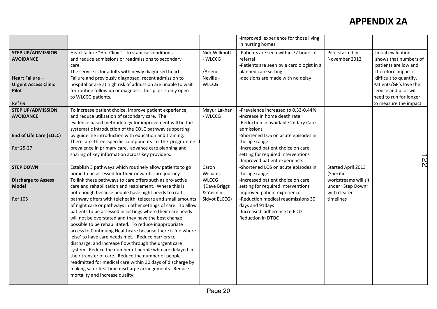|                                                                                                                          |                                                                                                                                                                                                                                                                                                                                                                                                                                                                                                                                                                                                                                                                                                                                                                                                                                                                                                                                                                                                                                                                  |                                                                                  | -Improved experience for those living<br>in nursing homes                                                                                                                                                                                                                                    |                                                                                                           |                                                                                                                                                                                                                             |
|--------------------------------------------------------------------------------------------------------------------------|------------------------------------------------------------------------------------------------------------------------------------------------------------------------------------------------------------------------------------------------------------------------------------------------------------------------------------------------------------------------------------------------------------------------------------------------------------------------------------------------------------------------------------------------------------------------------------------------------------------------------------------------------------------------------------------------------------------------------------------------------------------------------------------------------------------------------------------------------------------------------------------------------------------------------------------------------------------------------------------------------------------------------------------------------------------|----------------------------------------------------------------------------------|----------------------------------------------------------------------------------------------------------------------------------------------------------------------------------------------------------------------------------------------------------------------------------------------|-----------------------------------------------------------------------------------------------------------|-----------------------------------------------------------------------------------------------------------------------------------------------------------------------------------------------------------------------------|
| <b>STEP UP/ADMISSION</b><br><b>AVOIDANCE</b><br>Heart Failure -<br><b>Urgent Access Clinic</b><br><b>Pilot</b><br>Ref 69 | Heart failure "Hot Clinic" - to stabilise conditions<br>and reduce admissions or readmissions to secondary<br>care.<br>The service is for adults with newly diagnosed heart<br>Failure and previously diagnosed, recent admission to<br>hospital or are at high risk of admission are unable to wait<br>for routine follow up or diagnosis. This pilot is only open<br>to WLCCG patients.                                                                                                                                                                                                                                                                                                                                                                                                                                                                                                                                                                                                                                                                        | Nick Willmott<br>- WLCCG<br>/Arlene<br>Neville -<br><b>WLCCG</b>                 | -Patients are seen within 72 hours of<br>referral<br>-Patients are seen by a cardiologist in a<br>planned care setting<br>-decisions are made with no delay                                                                                                                                  | Pilot started in<br>November 2012                                                                         | Initial evaluation<br>shows that numbers of<br>patients are low and<br>therefore impact is<br>difficult to quantify.<br>Patients/GP's love the<br>service and pilot will<br>need to run for longer<br>to measure the impact |
| <b>STEP UP/ADMISSION</b><br><b>AVOIDANCE</b><br><b>End of Life Care (EOLC)</b><br>Ref 25-27                              | To increase patient choice. improve patient experience,<br>and reduce utilisation of secondary care. The<br>evidence based methodology for improvement will be the<br>systematic introduction of the EOLC pathway supporting<br>by guideline introduction with education and training.<br>There are three specific components to the programme:<br>prevalence in primary care, advance care planning and<br>sharing of key information across key providers.                                                                                                                                                                                                                                                                                                                                                                                                                                                                                                                                                                                                     | Mayur Lakhani<br>- WLCCG                                                         | -Prevalence increased to 0.33-0.44%<br>-Increase in home death rate<br>-Reduction in avoidable 2ndary Care<br>admissions<br>-Shortened LOS on acute episodes in<br>the age range<br>-Increased patient choice on care<br>setting for required interventions<br>-Improved patient experience. |                                                                                                           | N                                                                                                                                                                                                                           |
| <b>STEP DOWN</b><br><b>Discharge to Assess</b><br><b>Model</b><br><b>Ref 105</b>                                         | Establish 3 pathways which routinely allow patients to go<br>home to be assessed for their onwards care journey.<br>To link these pathways to care offers such as pro-active<br>care and rehabilitation and reablement. Where this is<br>not enough because people have night needs to craft<br>pathway offers with telehealth, telecare and small amounts<br>of night care or pathways in other settings of care. To allow<br>patients to be assessed in settings where their care needs<br>will not be overstated and they have the best change<br>possible to be rehabilitated. To reduce inappropriate<br>access to Continuing Healthcare because there is 'no where<br>else' to have care needs met. Reduce barriers to<br>discharge, and increase flow through the urgent care<br>system. Reduce the number of people who are delayed in<br>their transfer of care. Reduce the number of people<br>readmitted for medical care within 30 days of discharge by<br>making safer first time discharge arrangements. Reduce<br>mortality and increase quality. | Caron<br>Williams -<br><b>WLCCG</b><br>(Dave Briggs<br>& Yasmin<br>Sidyot ELCCG) | -Shortened LOS on acute episodes in<br>the age range<br>-Increased patient choice on care<br>setting for required interventions<br>Improved patient experience.<br>-Reduction medical readmissions 30<br>days and 91 days<br>-Increased adherence to EDD<br>Reduction in DTOC                | Started April 2013<br>(Specific<br>workstreams will sit<br>under "Step Down"<br>with clearer<br>timelines | Ñ                                                                                                                                                                                                                           |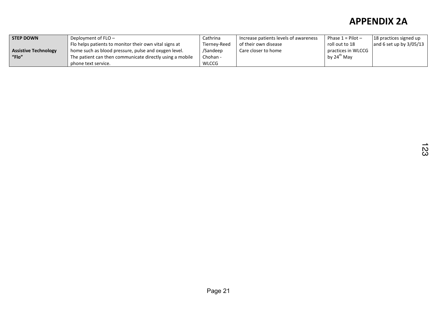| <b>STEP DOWN</b>            | Deployment of $FLO -$                                    | Cathrina     | Increase patients levels of awareness | Phase $1 =$ Pilot $-$ | 18 practices signed up    |
|-----------------------------|----------------------------------------------------------|--------------|---------------------------------------|-----------------------|---------------------------|
|                             | Flo helps patients to monitor their own vital signs at   | Tiernev-Reed | of their own disease                  | roll out to 18        | and 6 set up by $3/05/13$ |
| <b>Assistive Technology</b> | home such as blood pressure, pulse and oxygen level.     | /Sandeep     | Care closer to home                   | practices in WLCCG    |                           |
| "Flo"                       | The patient can then communicate directly using a mobile | Chohan -     |                                       | by $24^{th}$ May      |                           |
|                             | phone text service.                                      | WLCCG        |                                       |                       |                           |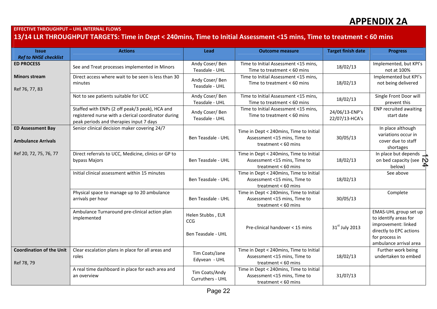#### EFFECTIVE THROUGHPUT – UHL INTERNAL FLOWS

#### 13/14 LLR THROUGHPUT TARGETS: Time in Dept < 240mins, Time to Initial Assessment <15 mins, Time to treatment < 60 mins

| <b>Issue</b>                                          | <b>Actions</b>                                                                                                                                   | Lead                               | <b>Outcome measure</b>                                                                           | <b>Target finish date</b>        | <b>Progress</b>                                                             |
|-------------------------------------------------------|--------------------------------------------------------------------------------------------------------------------------------------------------|------------------------------------|--------------------------------------------------------------------------------------------------|----------------------------------|-----------------------------------------------------------------------------|
| <b>Ref to NHSE checklist</b>                          |                                                                                                                                                  |                                    |                                                                                                  |                                  |                                                                             |
| <b>ED PROCESS</b>                                     | See and Treat processes implemented in Minors                                                                                                    | Andy Coser/Ben<br>Teasdale - UHL   | Time to Initial Assessment <15 mins,<br>Time to treatment $< 60$ mins                            | 18/02/13                         | Implemented, but KPI's<br>not at 100%                                       |
| <b>Minors stream</b><br>Ref 76, 77, 83                | Direct access where wait to be seen is less than 30<br>minutes                                                                                   | Andy Coser/Ben<br>Teasdale - UHL   | Time to Initial Assessment <15 mins,<br>Time to treatment $< 60$ mins                            | 18/02/13                         | Implemented but KPI's<br>not being delivered                                |
|                                                       | Not to see patients suitable for UCC                                                                                                             | Andy Coser/Ben<br>Teasdale - UHL   | Time to Initial Assessment <15 mins,<br>Time to treatment $< 60$ mins                            | 18/02/13                         | Single Front Door will<br>prevent this                                      |
|                                                       | Staffed with ENPs (2 off peak/3 peak), HCA and<br>registered nurse with a clerical coordinator during<br>peak periods and therapies input 7 days | Andy Coser/Ben<br>Teasdale - UHL   | Time to Initial Assessment <15 mins,<br>Time to treatment $< 60$ mins                            | 24/06/13-ENP's<br>22/07/13-HCA's | <b>ENP recruited awaiting</b><br>start date                                 |
| <b>ED Assessment Bay</b><br><b>Ambulance Arrivals</b> | Senior clinical decision maker covering 24/7                                                                                                     | Ben Teasdale - UHL                 | Time in Dept < 240mins, Time to Initial<br>Assessment <15 mins, Time to<br>treatment $< 60$ mins | 30/05/13                         | In place although<br>variations occur in<br>cover due to staff<br>shortages |
| Ref 20, 72, 75, 76, 77                                | Direct referrals to UCC, Medicine, clinics or GP to<br>bypass Majors                                                                             | Ben Teasdale - UHL                 | Time in Dept < 240mins, Time to Initial<br>Assessment <15 mins, Time to<br>treatment $< 60$ mins | 18/02/13                         | In place but depends $\perp$<br>on bed capacity (see $\mathbb N$<br>below)  |
|                                                       | Initial clinical assessment within 15 minutes                                                                                                    | Ben Teasdale - UHL                 | Time in Dept < 240mins, Time to Initial<br>Assessment <15 mins, Time to<br>treatment < 60 mins   | 18/02/13                         | See above                                                                   |
|                                                       | Physical space to manage up to 20 ambulance<br>arrivals per hour                                                                                 | Ben Teasdale - UHL                 | Time in Dept < 240mins, Time to Initial<br>Assessment <15 mins, Time to<br>treatment < 60 mins   | 30/05/13                         | Complete                                                                    |
|                                                       | Ambulance Turnaround pre-clinical action plan<br>implemented                                                                                     | Helen Stubbs, ELR<br><b>CCG</b>    |                                                                                                  |                                  | EMAS-UHL group set up<br>to identify areas for<br>improvement: linked       |
|                                                       |                                                                                                                                                  | Ben Teasdale - UHL                 | Pre-clinical handover < 15 mins                                                                  | 31 <sup>st</sup> July 2013       | directly to EPC actions<br>for process in<br>ambulance arrival area         |
| <b>Coordination of the Unit</b><br>Ref 78, 79         | Clear escalation plans in place for all areas and<br>roles                                                                                       | Tim Coats/Jane<br>Edyvean - UHL    | Time in Dept < 240mins, Time to Initial<br>Assessment <15 mins, Time to<br>treatment < 60 mins   | 18/02/13                         | Further work being<br>undertaken to embed                                   |
|                                                       | A real time dashboard in place for each area and<br>an overview                                                                                  | Tim Coats/Andy<br>Curruthers - UHL | Time in Dept < 240mins, Time to Initial<br>Assessment <15 mins, Time to<br>treatment $< 60$ mins | 31/07/13                         |                                                                             |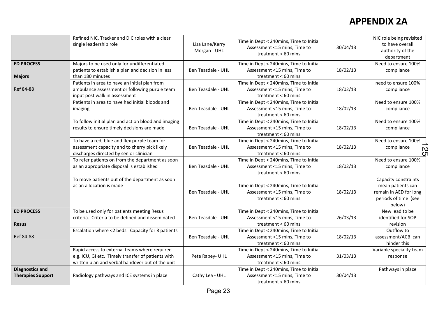|                                                    | Refined NIC, Tracker and DIC roles with a clear                                                                                                         |                                 |                                                                                                  |          | NIC role being revisited                                                                              |
|----------------------------------------------------|---------------------------------------------------------------------------------------------------------------------------------------------------------|---------------------------------|--------------------------------------------------------------------------------------------------|----------|-------------------------------------------------------------------------------------------------------|
|                                                    | single leadership role                                                                                                                                  | Lisa Lane/Kerry<br>Morgan - UHL | Time in Dept < 240mins, Time to Initial<br>Assessment <15 mins, Time to<br>treatment < 60 mins   | 30/04/13 | to have overall<br>authority of the<br>department                                                     |
| <b>ED PROCESS</b><br><b>Majors</b>                 | Majors to be used only for undifferentiated<br>patients to establish a plan and decision in less<br>than 180 minutes                                    | Ben Teasdale - UHL              | Time in Dept < 240mins, Time to Initial<br>Assessment <15 mins, Time to<br>treatment < 60 mins   | 18/02/13 | Need to ensure 100%<br>compliance                                                                     |
| Ref 84-88                                          | Patients in area to have an initial plan from<br>ambulance assessment or following purple team<br>input post walk in assessment                         | Ben Teasdale - UHL              | Time in Dept < 240mins, Time to Initial<br>Assessment <15 mins, Time to<br>treatment < 60 mins   | 18/02/13 | need to ensure 100%<br>compliance                                                                     |
|                                                    | Patients in area to have had initial bloods and<br>imaging                                                                                              | Ben Teasdale - UHL              | Time in Dept < 240mins, Time to Initial<br>Assessment <15 mins, Time to<br>treatment $< 60$ mins | 18/02/13 | Need to ensure 100%<br>compliance                                                                     |
|                                                    | To follow initial plan and act on blood and imaging<br>results to ensure timely decisions are made                                                      | Ben Teasdale - UHL              | Time in Dept < 240mins, Time to Initial<br>Assessment <15 mins, Time to<br>treatment < 60 mins   | 18/02/13 | Need to ensure 100%<br>compliance                                                                     |
|                                                    | To have a red, blue and flex purple team for<br>assessment capacity and to cherry pick likely<br>discharges directed by senior clinician                | Ben Teasdale - UHL              | Time in Dept < 240mins, Time to Initial<br>Assessment <15 mins, Time to<br>treatment < 60 mins   | 18/02/13 | Need to ensure 100%<br>compliance<br>လ္က                                                              |
|                                                    | To refer patients on from the department as soon<br>as an appropriate disposal is established                                                           | Ben Teasdale - UHL              | Time in Dept < 240mins, Time to Initial<br>Assessment <15 mins, Time to<br>treatment < 60 mins   | 18/02/13 | Need to ensure 100%<br>compliance                                                                     |
|                                                    | To move patients out of the department as soon<br>as an allocation is made                                                                              | Ben Teasdale - UHL              | Time in Dept < 240mins, Time to Initial<br>Assessment <15 mins, Time to<br>treatment $< 60$ mins | 18/02/13 | Capacity constraints<br>mean patients can<br>remain in AED for long<br>periods of time (see<br>below) |
| <b>ED PROCESS</b><br><b>Resus</b>                  | To be used only for patients meeting Resus<br>criteria. Criteria to be defined and disseminated                                                         | Ben Teasdale - UHL              | Time in Dept < 240mins, Time to Initial<br>Assessment <15 mins, Time to<br>treatment < 60 mins   | 26/03/13 | New lead to be<br>identified for SOP<br>revision                                                      |
| Ref 84-88                                          | Escalation where <2 beds. Capacity for 8 patients                                                                                                       | Ben Teasdale - UHL              | Time in Dept < 240mins, Time to Initial<br>Assessment <15 mins, Time to<br>treatment < 60 mins   | 18/02/13 | Outflow to<br>assessment/ACB can<br>hinder this                                                       |
|                                                    | Rapid access to external teams where required<br>e.g. ICU, GI etc. Timely transfer of patients with<br>written plan and verbal handover out of the unit | Pete Rabey- UHL                 | Time in Dept < 240mins, Time to Initial<br>Assessment <15 mins, Time to<br>treatment < 60 mins   | 31/03/13 | Variable speciality team<br>response                                                                  |
| <b>Diagnostics and</b><br><b>Therapies Support</b> | Radiology pathways and ICE systems in place                                                                                                             | Cathy Lea - UHL                 | Time in Dept < 240mins, Time to Initial<br>Assessment <15 mins, Time to<br>treatment < 60 mins   | 30/04/13 | Pathways in place                                                                                     |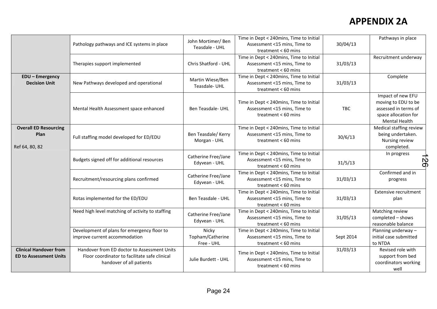|                                                                |                                                                                                                          |                                         | Time in Dept < 240mins, Time to Initial                                                          |            | Pathways in place                                                                                                |
|----------------------------------------------------------------|--------------------------------------------------------------------------------------------------------------------------|-----------------------------------------|--------------------------------------------------------------------------------------------------|------------|------------------------------------------------------------------------------------------------------------------|
|                                                                | Pathology pathways and ICE systems in place                                                                              | John Mortimer/Ben<br>Teasdale - UHL     | Assessment <15 mins, Time to<br>treatment $< 60$ mins                                            | 30/04/13   |                                                                                                                  |
|                                                                | Therapies support implemented                                                                                            | Chris Shatford - UHL                    | Time in Dept < 240mins, Time to Initial<br>Assessment <15 mins, Time to<br>treatment < 60 mins   | 31/03/13   | Recruitment underway                                                                                             |
| <b>EDU - Emergency</b><br><b>Decision Unit</b>                 | New Pathways developed and operational                                                                                   | Martin Wiese/Ben<br>Teasdale-UHL        | Time in Dept < 240mins, Time to Initial<br>Assessment <15 mins, Time to<br>treatment < 60 mins   | 31/03/13   | Complete                                                                                                         |
|                                                                | Mental Health Assessment space enhanced                                                                                  | <b>Ben Teasdale- UHL</b>                | Time in Dept < 240mins, Time to Initial<br>Assessment <15 mins, Time to<br>treatment $< 60$ mins | <b>TBC</b> | Impact of new EFU<br>moving to EDU to be<br>assessed in terms of<br>space allocation for<br><b>Mental Health</b> |
| <b>Overall ED Resourcing</b><br>Plan<br>Ref 64, 80, 82         | Full staffing model developed for ED/EDU                                                                                 | Ben Teasdale/ Kerry<br>Morgan - UHL     | Time in Dept < 240mins, Time to Initial<br>Assessment <15 mins, Time to<br>treatment $< 60$ mins | 30/6/13    | Medical staffing review<br>being undertaken.<br>Nursing review<br>completed.                                     |
|                                                                | Budgets signed off for additional resources                                                                              | Catherine Free/Jane<br>Edyvean - UHL    | Time in Dept < 240mins, Time to Initial<br>Assessment <15 mins, Time to<br>treatment $< 60$ mins | 31/5/13    | In progress<br>$\overline{56}$                                                                                   |
|                                                                | Recruitment/resourcing plans confirmed                                                                                   | Catherine Free/Jane<br>Edyvean - UHL    | Time in Dept < 240mins, Time to Initial<br>Assessment <15 mins, Time to<br>treatment $< 60$ mins | 31/03/13   | Confirmed and in<br>progress                                                                                     |
|                                                                | Rotas implemented for the ED/EDU                                                                                         | Ben Teasdale - UHL                      | Time in Dept < 240mins, Time to Initial<br>Assessment <15 mins, Time to<br>treatment $< 60$ mins | 31/03/13   | <b>Extensive recruitment</b><br>plan                                                                             |
|                                                                | Need high level matching of activity to staffing                                                                         | Catherine Free/Jane<br>Edyvean - UHL    | Time in Dept < 240mins, Time to Initial<br>Assessment <15 mins, Time to<br>treatment < 60 mins   | 31/05/13   | Matching review<br>completed - shows<br>reasonable balance                                                       |
|                                                                | Development of plans for emergency floor to<br>improve current accommodation                                             | Nicky<br>Topham/Catherine<br>Free - UHL | Time in Dept < 240mins, Time to Initial<br>Assessment <15 mins, Time to<br>treatment < 60 mins   | Sept 2014  | Planning underway -<br>initial case submitted<br>to NTDA                                                         |
| <b>Clinical Handover from</b><br><b>ED to Assessment Units</b> | Handover from ED doctor to Assessment Units<br>Floor coordinator to facilitate safe clinical<br>handover of all patients | Julie Burdett - UHL                     | Time in Dept < 240mins, Time to Initial<br>Assessment <15 mins, Time to<br>treatment $< 60$ mins | 31/03/13   | Revised role with<br>support from bed<br>coordinators working<br>well                                            |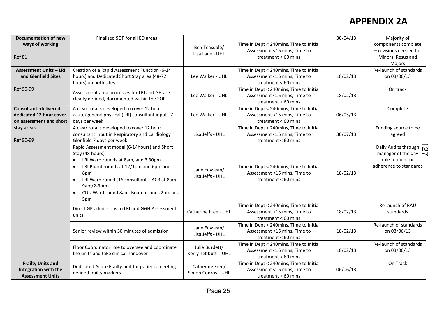| <b>Documentation of new</b><br>ways of working<br>Ref 81                           | Finalised SOP for all ED areas                                                                                                                                                                                                                                                                                             | Ben Teasdale/<br>Lisa Lane - UHL      | Time in Dept < 240mins, Time to Initial<br>Assessment <15 mins, Time to<br>treatment < 60 mins   | 30/04/13 | Majority of<br>components complete<br>- revisions needed for<br>Minors, Resus and<br>Majors            |
|------------------------------------------------------------------------------------|----------------------------------------------------------------------------------------------------------------------------------------------------------------------------------------------------------------------------------------------------------------------------------------------------------------------------|---------------------------------------|--------------------------------------------------------------------------------------------------|----------|--------------------------------------------------------------------------------------------------------|
| <b>Assessment Units - LRI</b><br>and Glenfield Sites                               | Creation of a Rapid Assessment Function (6-14<br>hours) and Dedicated Short Stay area (48-72<br>hours) on both sites                                                                                                                                                                                                       | Lee Walker - UHL                      | Time in Dept < 240mins, Time to Initial<br>Assessment <15 mins, Time to<br>treatment < 60 mins   | 18/02/13 | Re-launch of standards<br>on 03/06/13                                                                  |
| Ref 90-99                                                                          | Assessment area processes for LRI and GH are<br>clearly defined, documented within the SOP                                                                                                                                                                                                                                 | Lee Walker - UHL                      | Time in Dept < 240mins, Time to Initial<br>Assessment <15 mins, Time to<br>treatment < 60 mins   | 18/02/13 | On track                                                                                               |
| <b>Consultant -delivered</b><br>dedicated 12 hour cover<br>on assessment and short | A clear rota is developed to cover 12 hour<br>acute/general physical (LRI) consultant input 7<br>days per week                                                                                                                                                                                                             | Lee Walker - UHL                      | Time in Dept < 240mins, Time to Initial<br>Assessment <15 mins, Time to<br>treatment < 60 mins   | 06/05/13 | Complete                                                                                               |
| stay areas<br>Ref 90-99                                                            | A clear rota is developed to cover 12 hour<br>consultant input in Respiratory and Cardiology<br>Glenfield 7 days per week                                                                                                                                                                                                  | Lisa Jeffs - UHL                      | Time in Dept < 240mins, Time to Initial<br>Assessment <15 mins, Time to<br>treatment < 60 mins   | 30/07/13 | Funding source to be<br>agreed                                                                         |
|                                                                                    | Rapid Assessment model (6-14hours) and Short<br>Stay (48 hours)<br>LRI Ward rounds at 8am, and 3.30pm<br>$\bullet$<br>LRI Board rounds at 12/1pm and 6pm and<br>$\bullet$<br>8pm<br>LRI Ward round (16 consultant - ACB at 8am-<br>$\bullet$<br>9am/2-3pm)<br>CDU Ward round 8am, Board rounds 2pm and<br>$\bullet$<br>5pm | Jane Edyvean/<br>Lisa Jeffs - UHL     | Time in Dept < 240mins, Time to Initial<br>Assessment <15 mins, Time to<br>treatment < 60 mins   | 18/02/13 | Daily Audits through $\overline{N}$<br>manager of the day<br>role to monitor<br>adherence to standards |
|                                                                                    | Direct GP admissions to LRI and GGH Assessment<br>units                                                                                                                                                                                                                                                                    | Catherine Free - UHL                  | Time in Dept < 240mins, Time to Initial<br>Assessment <15 mins, Time to<br>treatment < $60$ mins | 18/02/13 | Re-launch of RAU<br>standards                                                                          |
|                                                                                    | Senior review within 30 minutes of admission                                                                                                                                                                                                                                                                               | Jane Edyvean/<br>Lisa Jeffs - UHL     | Time in Dept < 240mins, Time to Initial<br>Assessment <15 mins, Time to<br>treatment < 60 mins   | 18/02/13 | Re-launch of standards<br>on 03/06/13                                                                  |
|                                                                                    | Floor Coordinator role to oversee and coordinate<br>the units and take clinical handover                                                                                                                                                                                                                                   | Julie Burdett/<br>Kerry Tebbutt - UHL | Time in Dept < 240mins, Time to Initial<br>Assessment <15 mins, Time to<br>treatment < 60 mins   | 18/02/13 | Re-launch of standards<br>on 03/06/13                                                                  |
| <b>Frailty Units and</b><br>Integration with the<br><b>Assessment Units</b>        | Dedicated Acute Frailty unit for patients meeting<br>defined frailty markers                                                                                                                                                                                                                                               | Catherine Free/<br>Simon Conroy - UHL | Time in Dept < 240mins, Time to Initial<br>Assessment <15 mins, Time to<br>treatment < 60 mins   | 06/06/13 | On Track                                                                                               |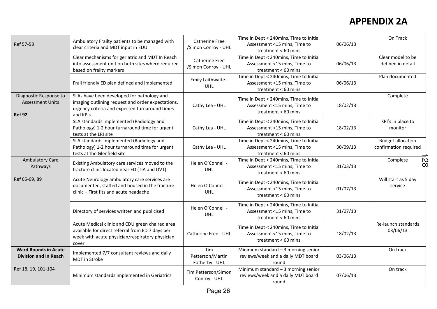| Ref 57-58                                                          | Ambulatory Frailty patients to be managed with<br>clear criteria and MDT input in EDU                                                                           | Catherine Free<br>/Simon Conroy - UHL        | Time in Dept < 240mins, Time to Initial<br>Assessment <15 mins, Time to<br>treatment < 60 mins   | 06/06/13 | On Track                                          |
|--------------------------------------------------------------------|-----------------------------------------------------------------------------------------------------------------------------------------------------------------|----------------------------------------------|--------------------------------------------------------------------------------------------------|----------|---------------------------------------------------|
|                                                                    | Clear mechanisms for geriatric and MDT In Reach<br>into assessment unit on both sites where required<br>based on frailty markers                                | <b>Catherine Free</b><br>/Simon Conroy - UHL | Time in Dept < 240mins, Time to Initial<br>Assessment <15 mins, Time to<br>treatment < 60 mins   | 06/06/13 | Clear model to be<br>defined in detail            |
|                                                                    | Frail friendly ED plan defined and implemented                                                                                                                  | Emily Laithwaite -<br><b>UHL</b>             | Time in Dept < 240mins, Time to Initial<br>Assessment <15 mins, Time to<br>treatment < 60 mins   | 06/06/13 | Plan documented                                   |
| Diagnostic Response to<br><b>Assessment Units</b><br><b>Ref 92</b> | SLAs have been developed for pathology and<br>imaging outlining request and order expectations,<br>urgency criteria and expected turnaround times<br>and KPIs   | Cathy Lea - UHL                              | Time in Dept < 240mins, Time to Initial<br>Assessment <15 mins, Time to<br>treatment < 60 mins   | 18/02/13 | Complete                                          |
|                                                                    | SLA standards implemented (Radiology and<br>Pathology) 1-2 hour turnaround time for urgent<br>tests at the LRI site                                             | Cathy Lea - UHL                              | Time in Dept < 240mins, Time to Initial<br>Assessment <15 mins, Time to<br>treatment < 60 mins   | 18/02/13 | KPI's in place to<br>monitor                      |
|                                                                    | SLA standards implemented (Radiology and<br>Pathology) 1-2 hour turnaround time for urgent<br>tests at the Glenfield site                                       | Cathy Lea - UHL                              | Time in Dept < 240mins, Time to Initial<br>Assessment <15 mins, Time to<br>treatment < 60 mins   | 30/09/13 | <b>Budget allocation</b><br>confirmation required |
| <b>Ambulatory Care</b><br>Pathways                                 | Existing Ambulatory care services moved to the<br>fracture clinic located near ED (TIA and DVT)                                                                 | Helen O'Connell -<br><b>UHL</b>              | Time in Dept < 240mins, Time to Initial<br>Assessment <15 mins, Time to<br>treatment < 60 mins   | 31/03/13 | Complete<br>$\frac{1}{8}$                         |
| Ref 65-69, 89                                                      | Acute Neurology ambulatory care services are<br>documented, staffed and housed in the fracture<br>clinic - First fits and acute headache                        | Helen O'Connell -<br><b>UHL</b>              | Time in Dept < 240mins, Time to Initial<br>Assessment <15 mins, Time to<br>treatment $< 60$ mins | 01/07/13 | Will start as 5 day<br>service                    |
|                                                                    | Directory of services written and publicised                                                                                                                    | Helen O'Connell -<br><b>UHL</b>              | Time in Dept < 240mins, Time to Initial<br>Assessment <15 mins, Time to<br>treatment < 60 mins   | 31/07/13 |                                                   |
|                                                                    | Acute Medical clinic and CDU green chaired area<br>available for direct referral from ED 7 days per<br>week with acute physician/respiratory physician<br>cover | Catherine Free - UHL                         | Time in Dept < 240mins, Time to Initial<br>Assessment <15 mins, Time to<br>treatment < 60 mins   | 18/02/13 | Re-launch standards<br>03/06/13                   |
| <b>Ward Rounds in Acute</b><br><b>Division and In Reach</b>        | Implemented 7/7 consultant reviews and daily<br>MDT in Stroke                                                                                                   | Tim<br>Petterson/Martin<br>Fotherby - UHL    | Minimum standard $-3$ morning senior<br>reviews/week and a daily MDT board<br>round              | 03/06/13 | On track                                          |
| Ref 18, 19, 101-104                                                | Minimum standards implemented in Geriatrics                                                                                                                     | Tim Petterson/Simon<br>Conroy - UHL          | Minimum standard $-3$ morning senior<br>reviews/week and a daily MDT board<br>round              | 07/06/13 | On track                                          |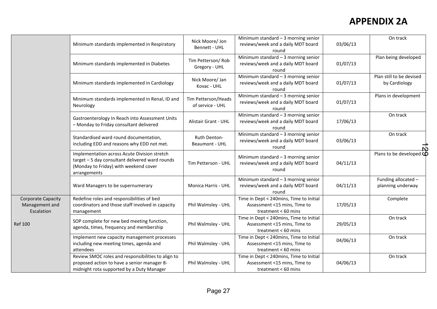|                                                           |                                                                                                                                                          |                                         | Minimum standard $-3$ morning senior                                                             |          | On track                                         |
|-----------------------------------------------------------|----------------------------------------------------------------------------------------------------------------------------------------------------------|-----------------------------------------|--------------------------------------------------------------------------------------------------|----------|--------------------------------------------------|
|                                                           | Minimum standards implemented in Respiratory                                                                                                             | Nick Moore/ Jon<br>Bennett - UHL        | reviews/week and a daily MDT board<br>round                                                      | 03/06/13 |                                                  |
|                                                           | Minimum standards implemented in Diabetes                                                                                                                | Tim Petterson/Rob<br>Gregory - UHL      | Minimum standard $-3$ morning senior<br>reviews/week and a daily MDT board<br>round              | 01/07/13 | Plan being developed                             |
|                                                           | Minimum standards implemented in Cardiology                                                                                                              | Nick Moore/ Jan<br>Kovac - UHL          | Minimum standard $-3$ morning senior<br>reviews/week and a daily MDT board<br>round              | 01/07/13 | Plan still to be devised<br>by Cardiology        |
|                                                           | Minimum standards implemented in Renal, ID and<br>Neurology                                                                                              | Tim Petterson/Heads<br>of service - UHL | Minimum standard $-3$ morning senior<br>reviews/week and a daily MDT board<br>round              | 01/07/13 | Plans in development                             |
|                                                           | Gastroenterology In Reach into Assessment Units<br>- Monday to Friday consultant delivered                                                               | Alistair Grant - UHL                    | Minimum standard $-3$ morning senior<br>reviews/week and a daily MDT board<br>round              | 17/06/13 | On track                                         |
|                                                           | Standardised ward round documentation,<br>including EDD and reasons why EDD not met.                                                                     | Ruth Denton-<br><b>Beaumont - UHL</b>   | Minimum standard $-3$ morning senior<br>reviews/week and a daily MDT board<br>round              | 03/06/13 | On track                                         |
|                                                           | Implementation across Acute Division stretch<br>target - 5 day consultant delivered ward rounds<br>(Monday to Friday) with weekend cover<br>arrangements | Tim Petterson - UHL                     | Minimum standard $-3$ morning senior<br>reviews/week and a daily MDT board<br>round              | 04/11/13 | Plans to be developed $\overline{\mathbf{\Phi}}$ |
|                                                           | Ward Managers to be supernumerary                                                                                                                        | Monica Harris - UHL                     | Minimum standard $-3$ morning senior<br>reviews/week and a daily MDT board<br>round              | 04/11/13 | Funding allocated -<br>planning underway         |
| <b>Corporate Capacity</b><br>Management and<br>Escalation | Redefine roles and responsibilities of bed<br>coordinators and those staff involved in capacity<br>management                                            | Phil Walmsley - UHL                     | Time in Dept < 240mins, Time to Initial<br>Assessment <15 mins, Time to<br>treatment $< 60$ mins | 17/05/13 | Complete                                         |
| <b>Ref 100</b>                                            | SOP complete for new bed meeting function,<br>agenda, times, frequency and membership                                                                    | Phil Walmsley - UHL                     | Time in Dept < 240mins, Time to Initial<br>Assessment <15 mins, Time to<br>treatment < $60$ mins | 29/05/13 | On track                                         |
|                                                           | Implement new capacity management processes<br>including new meeting times, agenda and<br>attendees                                                      | Phil Walmsley - UHL                     | Time in Dept < 240mins, Time to Initial<br>Assessment <15 mins, Time to<br>treatment < 60 mins   | 04/06/13 | On track                                         |
|                                                           | Review SMOC roles and responsibilities to align to<br>proposed action to have a senior manager 8-<br>midnight rota supported by a Duty Manager           | Phil Walmsley - UHL                     | Time in Dept < 240mins, Time to Initial<br>Assessment <15 mins, Time to<br>treatment < 60 mins   | 04/06/13 | On track                                         |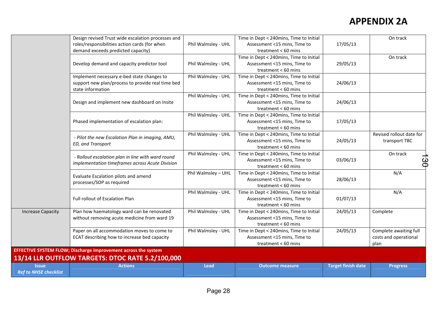|                                              | Design revised Trust wide escalation processes and                                                                   |                     | Time in Dept < 240mins, Time to Initial                                                          |                           | On track                                                |
|----------------------------------------------|----------------------------------------------------------------------------------------------------------------------|---------------------|--------------------------------------------------------------------------------------------------|---------------------------|---------------------------------------------------------|
|                                              | roles/responsibilities action cards (for when<br>demand exceeds predicted capacity)                                  | Phil Walmsley - UHL | Assessment <15 mins, Time to<br>treatment < 60 mins                                              | 17/05/13                  |                                                         |
|                                              | Develop demand and capacity predictor tool                                                                           | Phil Walmsley - UHL | Time in Dept < 240mins, Time to Initial<br>Assessment <15 mins, Time to<br>treatment < 60 mins   | 29/05/13                  | On track                                                |
|                                              | Implement necessary e-bed state changes to<br>support new plan/process to provide real time bed<br>state information | Phil Walmsley - UHL | Time in Dept < 240mins, Time to Initial<br>Assessment <15 mins, Time to<br>treatment < 60 mins   | 24/06/13                  |                                                         |
|                                              | Design and implement new dashboard on Insite                                                                         | Phil Walmsley - UHL | Time in Dept < 240mins, Time to Initial<br>Assessment <15 mins, Time to<br>treatment < 60 mins   | 24/06/13                  |                                                         |
|                                              | Phased implementation of escalation plan:                                                                            | Phil Walmsley - UHL | Time in Dept < 240mins, Time to Initial<br>Assessment <15 mins, Time to<br>treatment < 60 mins   | 17/05/13                  |                                                         |
|                                              | - Pilot the new Escalation Plan in imaging, AMU,<br>ED, and Transport                                                | Phil Walmsley - UHL | Time in Dept < 240mins, Time to Initial<br>Assessment <15 mins, Time to<br>treatment < 60 mins   | 24/05/13                  | Revised rollout date for<br>transport TBC               |
|                                              | - Rollout escalation plan in line with ward round<br>implementation timeframes across Acute Division                 | Phil Walmsley - UHL | Time in Dept < 240mins, Time to Initial<br>Assessment <15 mins, Time to<br>treatment $< 60$ mins | 03/06/13                  | On track<br>ပ္ပ                                         |
|                                              | Evaluate Escalation pilots and amend<br>processes/SOP as required                                                    | Phil Walmsley - UHL | Time in Dept < 240mins, Time to Initial<br>Assessment <15 mins, Time to<br>treatment < 60 mins   | 28/06/13                  | N/A                                                     |
|                                              | Full rollout of Escalation Plan                                                                                      | Phil Walmsley - UHL | Time in Dept < 240mins, Time to Initial<br>Assessment <15 mins, Time to<br>treatment < 60 mins   | 01/07/13                  | N/A                                                     |
| <b>Increase Capacity</b>                     | Plan how haematology ward can be renovated<br>without removing acute medicine from ward 19                           | Phil Walmsley - UHL | Time in Dept < 240mins, Time to Initial<br>Assessment <15 mins, Time to<br>treatment < 60 mins   | 24/05/13                  | Complete                                                |
|                                              | Paper on all accommodation moves to come to<br>ECAT describing how to increase bed capacity                          | Phil Walmsley - UHL | Time in Dept < 240mins, Time to Initial<br>Assessment <15 mins, Time to<br>treatment < 60 mins   | 24/05/13                  | Complete awaiting full<br>costs and operational<br>plan |
|                                              | EFFECTIVE SYSTEM FLOW; Discharge improvement across the system                                                       |                     |                                                                                                  |                           |                                                         |
|                                              | 13/14 LLR OUTFLOW TARGETS: DTOC RATE 5.2/100,000                                                                     |                     |                                                                                                  |                           |                                                         |
| <b>Issue</b><br><b>Ref to NHSE checklist</b> | <b>Actions</b>                                                                                                       | <b>Lead</b>         | <b>Outcome</b> measure                                                                           | <b>Target finish date</b> | <b>Progress</b>                                         |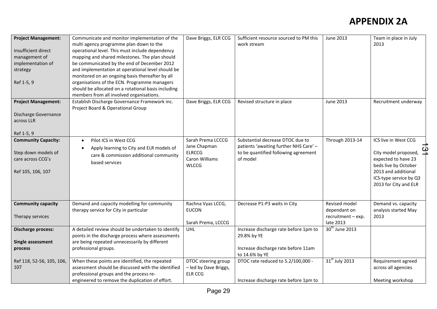| <b>Project Management:</b><br>Insufficient direct<br>management of<br>implementation of<br>strategy<br>Ref 1-5, 9 | Communicate and monitor implementation of the<br>multi agency programme plan down to the<br>operational level. This must include dependency<br>mapping and shared milestones. The plan should<br>be communicated by the end of December 2012<br>and implementation at operational level should be<br>monitored on an ongoing basis thereafter by all<br>organisations of the ECN. Programme managers<br>should be allocated on a rotational basis including<br>members from all involved organisations. | Dave Briggs, ELR CCG                                                                 | Sufficient resource sourced to PM this<br>work stream                                                                          | <b>June 2013</b>                                                 | Team in place in July<br>2013                                                                                                                                         |
|-------------------------------------------------------------------------------------------------------------------|---------------------------------------------------------------------------------------------------------------------------------------------------------------------------------------------------------------------------------------------------------------------------------------------------------------------------------------------------------------------------------------------------------------------------------------------------------------------------------------------------------|--------------------------------------------------------------------------------------|--------------------------------------------------------------------------------------------------------------------------------|------------------------------------------------------------------|-----------------------------------------------------------------------------------------------------------------------------------------------------------------------|
| <b>Project Management:</b><br>Discharge Governance<br>across LLR<br>Ref 1-5, 9                                    | Establish Discharge Governance Framework inc.<br>Project Board & Operational Group                                                                                                                                                                                                                                                                                                                                                                                                                      | Dave Briggs, ELR CCG                                                                 | Revised structure in place                                                                                                     | <b>June 2013</b>                                                 | Recruitment underway                                                                                                                                                  |
| <b>Community Capacity:</b><br>Step down models of<br>care across CCG's<br>Ref 105, 106, 107                       | Pilot ICS in West CCG<br>Apply learning to City and ELR models of<br>care & commission additional community<br>based services                                                                                                                                                                                                                                                                                                                                                                           | Sarah Prema LCCCG<br>Jane Chapman<br><b>ELRCCG</b><br>Caron Williams<br><b>WLCCG</b> | Substantial decrease DTOC due to<br>patients 'awaiting further NHS Care' -<br>to be quantified following agreement<br>of model | <b>Through 2013-14</b>                                           | ICS live in West CCG<br>City model proposed,<br>expected to have 23<br>beds live by October<br>2013 and additional<br>ICS-type service by Q3<br>2013 for City and ELR |
| <b>Community capacity</b><br>Therapy services                                                                     | Demand and capacity modelling for community<br>therapy service for City in particular                                                                                                                                                                                                                                                                                                                                                                                                                   | Rachna Vyas LCCG,<br><b>EUCON</b><br>Sarah Prema, LCCCG                              | Decrease P1-P3 waits in City                                                                                                   | Revised model<br>dependant on<br>recruitment - exp.<br>late 2013 | Demand vs. capacity<br>analysis started May<br>2013                                                                                                                   |
| <b>Discharge process:</b><br>Single assessment<br>process                                                         | A detailed review should be undertaken to identify<br>points in the discharge process where assessments<br>are being repeated unnecessarily by different<br>professional groups.                                                                                                                                                                                                                                                                                                                        | <b>UHL</b>                                                                           | Increase discharge rate before 1pm to<br>29.8% by YE<br>Increase discharge rate before 11am<br>to 14.6% by YE                  | 30 <sup>th</sup> June 2013                                       |                                                                                                                                                                       |
| Ref 118, 52-56, 105, 106,<br>107                                                                                  | When these points are identified, the repeated<br>assessment should be discussed with the identified<br>professional groups and the process re-<br>engineered to remove the duplication of effort.                                                                                                                                                                                                                                                                                                      | DTOC steering group<br>- led by Dave Briggs,<br><b>ELR CCG</b>                       | DTOC rate reduced to 5.2/100,000 -<br>Increase discharge rate before 1pm to                                                    | 31 <sup>st</sup> July 2013                                       | Requirement agreed<br>across all agencies<br>Meeting workshop                                                                                                         |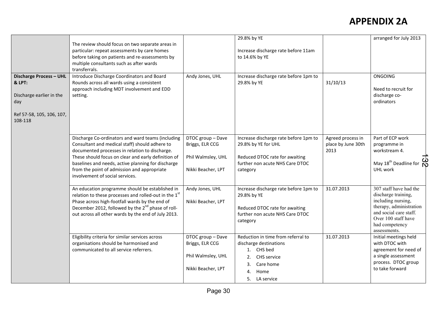|                                                                                                              | The review should focus on two separate areas in<br>particular: repeat assessments by care homes<br>before taking on patients and re-assessments by<br>multiple consultants such as after wards<br>transferrals.                                                                                                                                     |                                                                                  | 29.8% by YE<br>Increase discharge rate before 11am<br>to 14.6% by YE                                                                           |                                                 | arranged for July 2013                                                                                                                                                            |
|--------------------------------------------------------------------------------------------------------------|------------------------------------------------------------------------------------------------------------------------------------------------------------------------------------------------------------------------------------------------------------------------------------------------------------------------------------------------------|----------------------------------------------------------------------------------|------------------------------------------------------------------------------------------------------------------------------------------------|-------------------------------------------------|-----------------------------------------------------------------------------------------------------------------------------------------------------------------------------------|
| Discharge Process - UHL<br>& LPT:<br>Discharge earlier in the<br>day<br>Ref 57-58, 105, 106, 107,<br>108-118 | Introduce Discharge Coordinators and Board<br>Rounds across all wards using a consistent<br>approach including MDT involvement and EDD<br>setting.                                                                                                                                                                                                   | Andy Jones, UHL                                                                  | Increase discharge rate before 1pm to<br>29.8% by YE                                                                                           | 31/10/13                                        | <b>ONGOING</b><br>Need to recruit for<br>discharge co-<br>ordinators                                                                                                              |
|                                                                                                              | Discharge Co-ordinators and ward teams (including<br>Consultant and medical staff) should adhere to<br>documented processes in relation to discharge.<br>These should focus on clear and early definition of<br>baselines and needs, active planning for discharge<br>from the point of admission and appropriate<br>involvement of social services. | DTOC group - Dave<br>Briggs, ELR CCG<br>Phil Walmsley, UHL<br>Nikki Beacher, LPT | Increase discharge rate before 1pm to<br>29.8% by YE for UHL<br>Reduced DTOC rate for awaiting<br>further non acute NHS Care DTOC<br>category  | Agreed process in<br>place by June 30th<br>2013 | Part of ECP work<br>programme in<br>workstream 4.<br>လ<br>May 18 <sup>th</sup> Deadline for<br>UHL work                                                                           |
|                                                                                                              | An education programme should be established in<br>relation to these processes and rolled-out in the 1st<br>Phase across high-footfall wards by the end of<br>December 2012, followed by the 2 <sup>nd</sup> phase of roll-<br>out across all other wards by the end of July 2013.                                                                   | Andy Jones, UHL<br>Nikki Beacher, LPT                                            | Increase discharge rate before 1pm to<br>29.8% by YE<br>Reduced DTOC rate for awaiting<br>further non acute NHS Care DTOC<br>category          | 31.07.2013                                      | 307 staff have had the<br>discharge training,<br>including nursing,<br>therapy, administration<br>and social care staff.<br>Over 100 staff have<br>had competency<br>assessments. |
|                                                                                                              | Eligibility criteria for similar services across<br>organisations should be harmonised and<br>communicated to all service referrers.                                                                                                                                                                                                                 | DTOC group - Dave<br>Briggs, ELR CCG<br>Phil Walmsley, UHL<br>Nikki Beacher, LPT | Reduction in time from referral to<br>discharge destinations<br>1. CHS bed<br>CHS service<br>2.<br>Care home<br>3.<br>4. Home<br>5. LA service | 31.07.2013                                      | Initial meetings held<br>with DTOC with<br>agreement for need of<br>a single assessment<br>process. DTOC group<br>to take forward                                                 |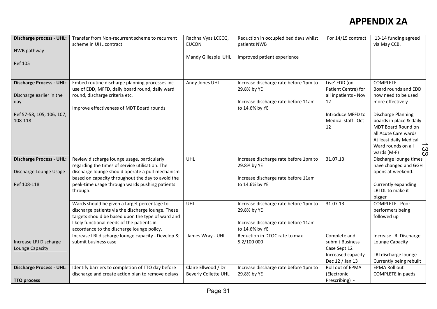| <b>Discharge process - UHL:</b><br>NWB pathway<br><b>Ref 105</b>                                           | Transfer from Non-recurrent scheme to recurrent<br>scheme in UHL contract                                                                                                                                                                                             | Rachna Vyas LCCCG,<br><b>EUCON</b><br>Mandy Gillespie UHL | Reduction in occupied bed days whilst<br>patients NWB<br>Improved patient experience                          | For 14/15 contract                                                                                                 | 13-14 funding agreed<br>via May CCB.                                                                                                                                                                                                                          |
|------------------------------------------------------------------------------------------------------------|-----------------------------------------------------------------------------------------------------------------------------------------------------------------------------------------------------------------------------------------------------------------------|-----------------------------------------------------------|---------------------------------------------------------------------------------------------------------------|--------------------------------------------------------------------------------------------------------------------|---------------------------------------------------------------------------------------------------------------------------------------------------------------------------------------------------------------------------------------------------------------|
| <b>Discharge Process - UHL:</b><br>Discharge earlier in the<br>day<br>Ref 57-58, 105, 106, 107,<br>108-118 | Embed routine discharge planning processes inc.<br>use of EDD, MFFD, daily board round, daily ward<br>round, discharge criteria etc.<br>Improve effectiveness of MDT Board rounds                                                                                     | Andy Jones UHL                                            | Increase discharge rate before 1pm to<br>29.8% by YE<br>Increase discharge rate before 11am<br>to 14.6% by YE | Live' EDD (on<br>Patient Centre) for<br>all inpatients - Nov<br>12<br>Introduce MFFD to<br>Medical staff Oct<br>12 | <b>COMPLETE</b><br>Board rounds and EDD<br>now need to be used<br>more effectively<br><b>Discharge Planning</b><br>boards in place & daily<br>MDT Board Round on<br>all Acute Care wards<br>At least daily Medical<br>Ward rounds on all<br>යූ<br>wards (M-F) |
| <b>Discharge Process - UHL:</b><br>Discharge Lounge Usage<br>Ref 108-118                                   | Review discharge lounge usage, particularly<br>regarding the times of service utilisation. The<br>discharge lounge should operate a pull-mechanism<br>based on capacity throughout the day to avoid the<br>peak-time usage through wards pushing patients<br>through. | <b>UHL</b>                                                | Increase discharge rate before 1pm to<br>29.8% by YE<br>Increase discharge rate before 11am<br>to 14.6% by YE | 31.07.13                                                                                                           | Discharge lounge times<br>have changed and GGH<br>opens at weekend.<br>Currently expanding<br>LRI DL to make it<br>bigger                                                                                                                                     |
|                                                                                                            | Wards should be given a target percentage to<br>discharge patients via the discharge lounge. These<br>targets should be based upon the type of ward and<br>likely functional needs of the patients in<br>accordance to the discharge lounge policy.                   | <b>UHL</b>                                                | Increase discharge rate before 1pm to<br>29.8% by YE<br>Increase discharge rate before 11am<br>to 14.6% by YE | 31.07.13                                                                                                           | COMPLETE. Poor<br>performers being<br>followed up                                                                                                                                                                                                             |
| Increase LRI Discharge<br>Lounge Capacity                                                                  | Increase LRI discharge lounge capacity - Develop &<br>submit business case                                                                                                                                                                                            | James Wray - UHL                                          | Reduction in DTOC rate to max<br>5.2/100 000                                                                  | Complete and<br>submit Business<br>Case Sept 12<br>Increased capacity<br>Dec 12 / Jan 13                           | Increase LRI Discharge<br>Lounge Capacity<br>LRI discharge lounge<br>Currently being rebuilt                                                                                                                                                                  |
| <b>Discharge Process - UHL:</b><br><b>TTO process</b>                                                      | Identify barriers to completion of TTO day before<br>discharge and create action plan to remove delays                                                                                                                                                                | Claire Ellwood / Dr<br><b>Beverly Collette UHL</b>        | Increase discharge rate before 1pm to<br>29.8% by YE                                                          | Roll out of EPMA<br>(Electronic<br>Prescribing) -                                                                  | <b>EPMA Roll out</b><br>COMPLETE in paeds                                                                                                                                                                                                                     |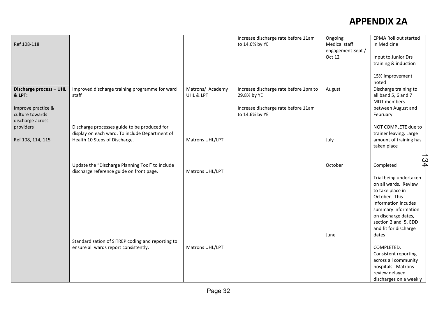|                         |                                                   |                  | Increase discharge rate before 11am   | Ongoing           | <b>EPMA Roll out started</b> |     |
|-------------------------|---------------------------------------------------|------------------|---------------------------------------|-------------------|------------------------------|-----|
| Ref 108-118             |                                                   |                  | to 14.6% by YE                        | Medical staff     | in Medicine                  |     |
|                         |                                                   |                  |                                       | engagement Sept / |                              |     |
|                         |                                                   |                  |                                       | Oct 12            | Input to Junior Drs          |     |
|                         |                                                   |                  |                                       |                   | training & induction         |     |
|                         |                                                   |                  |                                       |                   |                              |     |
|                         |                                                   |                  |                                       |                   |                              |     |
|                         |                                                   |                  |                                       |                   | 15% improvement              |     |
|                         |                                                   |                  |                                       |                   | noted                        |     |
| Discharge process - UHL | Improved discharge training programme for ward    | Matrons/ Academy | Increase discharge rate before 1pm to | August            | Discharge training to        |     |
| & LPT:                  | staff                                             | UHL & LPT        | 29.8% by YE                           |                   | all band 5, 6 and 7          |     |
|                         |                                                   |                  |                                       |                   | <b>MDT</b> members           |     |
| Improve practice &      |                                                   |                  | Increase discharge rate before 11am   |                   | between August and           |     |
| culture towards         |                                                   |                  | to 14.6% by YE                        |                   | February.                    |     |
| discharge across        |                                                   |                  |                                       |                   |                              |     |
| providers               | Discharge processes guide to be produced for      |                  |                                       |                   | NOT COMPLETE due to          |     |
|                         | display on each ward. To include Department of    |                  |                                       |                   | trainer leaving. Large       |     |
| Ref 108, 114, 115       | Health 10 Steps of Discharge.                     | Matrons UHL/LPT  |                                       | July              | amount of training has       |     |
|                         |                                                   |                  |                                       |                   | taken place                  |     |
|                         |                                                   |                  |                                       |                   |                              |     |
|                         |                                                   |                  |                                       |                   |                              |     |
|                         | Update the "Discharge Planning Tool" to include   |                  |                                       | October           | Completed                    | 134 |
|                         | discharge reference guide on front page.          | Matrons UHL/LPT  |                                       |                   |                              |     |
|                         |                                                   |                  |                                       |                   | Trial being undertaken       |     |
|                         |                                                   |                  |                                       |                   | on all wards. Review         |     |
|                         |                                                   |                  |                                       |                   | to take place in             |     |
|                         |                                                   |                  |                                       |                   | October. This                |     |
|                         |                                                   |                  |                                       |                   | information incudes          |     |
|                         |                                                   |                  |                                       |                   | summary information          |     |
|                         |                                                   |                  |                                       |                   |                              |     |
|                         |                                                   |                  |                                       |                   | on discharge dates,          |     |
|                         |                                                   |                  |                                       |                   | section 2 and 5, EDD         |     |
|                         |                                                   |                  |                                       |                   | and fit for discharge        |     |
|                         |                                                   |                  |                                       | June              | dates                        |     |
|                         | Standardisation of SITREP coding and reporting to |                  |                                       |                   |                              |     |
|                         | ensure all wards report consistently.             | Matrons UHL/LPT  |                                       |                   | COMPLETED.                   |     |
|                         |                                                   |                  |                                       |                   | Consistent reporting         |     |
|                         |                                                   |                  |                                       |                   | across all community         |     |
|                         |                                                   |                  |                                       |                   | hospitals. Matrons           |     |
|                         |                                                   |                  |                                       |                   | review delayed               |     |
|                         |                                                   |                  |                                       |                   | discharges on a weekly       |     |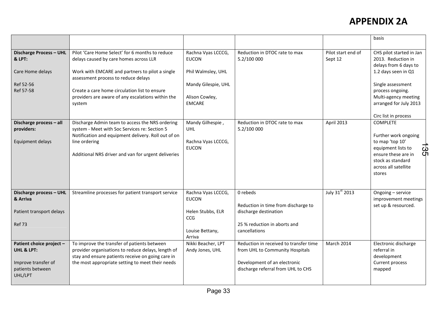|                                                                                              |                                                                                                                                                                                                                                                                                                     |                                                                                                                    |                                                                                                                                                 |                               | basis                                                                                                                                                                                     |
|----------------------------------------------------------------------------------------------|-----------------------------------------------------------------------------------------------------------------------------------------------------------------------------------------------------------------------------------------------------------------------------------------------------|--------------------------------------------------------------------------------------------------------------------|-------------------------------------------------------------------------------------------------------------------------------------------------|-------------------------------|-------------------------------------------------------------------------------------------------------------------------------------------------------------------------------------------|
| Discharge Process - UHL<br>& LPT:<br>Care Home delays<br>Ref 52-56<br>Ref 57-58              | Pilot 'Care Home Select' for 6 months to reduce<br>delays caused by care homes across LLR<br>Work with EMCARE and partners to pilot a single<br>assessment process to reduce delays<br>Create a care home circulation list to ensure<br>providers are aware of any escalations within the<br>system | Rachna Vyas LCCCG,<br><b>EUCON</b><br>Phil Walmsley, UHL<br>Mandy Gilespie, UHL<br>Alison Cowley,<br><b>EMCARE</b> | Reduction in DTOC rate to max<br>5.2/100 000                                                                                                    | Pilot start end of<br>Sept 12 | CHS pilot started in Jan<br>2013. Reduction in<br>delays from 6 days to<br>1.2 days seen in Q1<br>Single assessment<br>process ongoing.<br>Multi-agency meeting<br>arranged for July 2013 |
|                                                                                              |                                                                                                                                                                                                                                                                                                     |                                                                                                                    |                                                                                                                                                 |                               | Circ list in process                                                                                                                                                                      |
| Discharge process - all<br>providers:<br>Equipment delays                                    | Discharge Admin team to access the NRS ordering<br>system - Meet with Soc Services re: Section 5<br>Notification and equipment delivery. Roll out of on<br>line ordering<br>Additional NRS driver and van for urgent deliveries                                                                     | Mandy Gilhespie,<br>UHL<br>Rachna Vyas LCCCG,<br><b>EUCON</b>                                                      | Reduction in DTOC rate to max<br>5.2/100 000                                                                                                    | April 2013                    | <b>COMPLETE</b><br>Further work ongoing<br>to map 'top 10'<br>equipment lists to<br>ပ္ပ<br>ensure these are in<br>stock as standard<br>across all satellite<br>stores                     |
| Discharge process - UHL<br>& Arriva<br>Patient transport delays<br><b>Ref 73</b>             | Streamline processes for patient transport service                                                                                                                                                                                                                                                  | Rachna Vyas LCCCG,<br><b>EUCON</b><br>Helen Stubbs, ELR<br>CCG<br>Louise Bettany,<br>Arriva                        | 0 rebeds<br>Reduction in time from discharge to<br>discharge destination<br>25 % reduction in aborts and<br>cancellations                       | July 31st 2013                | Ongoing - service<br>improvement meetings<br>set up & resourced.                                                                                                                          |
| Patient choice project -<br>UHL & LPT:<br>Improve transfer of<br>patients between<br>UHL/LPT | To improve the transfer of patients between<br>provider organisations to reduce delays, length of<br>stay and ensure patients receive on going care in<br>the most appropriate setting to meet their needs                                                                                          | Nikki Beacher, LPT<br>Andy Jones, UHL                                                                              | Reduction in received to transfer time<br>from UHL to Community Hospitals<br>Development of an electronic<br>discharge referral from UHL to CHS | <b>March 2014</b>             | Electronic discharge<br>referral in<br>development<br>Current process<br>mapped                                                                                                           |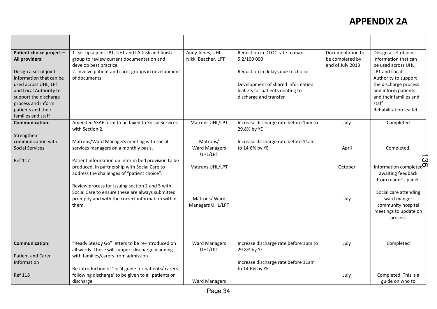| Patient choice project -<br>All providers:<br>Design a set of joint<br>information that can be<br>used across UHL, LPT<br>and Local Authority to<br>support the discharge<br>process and inform<br>patients and their<br>families and staff | 1. Set up a joint LPT, UHL and LA task and finish<br>group to review current documentation and<br>develop best practice.<br>2. Involve patient and carer groups in development<br>of documents                                                                                                                                                                                                             | Andy Jones, UHL<br>Nikki Beacher, LPT                                                              | Reduction in DTOC rate to max<br>5.2/100 000<br>Reduction in delays due to choice<br>Development of shared information<br>leaflets for patients relating to<br>discharge and transfer | Documentation to<br>be completed by<br>end of July 2013 | Design a set of joint<br>information that can<br>be used across UHL,<br>LPT and Local<br>Authority to support<br>the discharge process<br>and inform patients<br>and their families and<br>staff<br>Rehabilitation leaflet |
|---------------------------------------------------------------------------------------------------------------------------------------------------------------------------------------------------------------------------------------------|------------------------------------------------------------------------------------------------------------------------------------------------------------------------------------------------------------------------------------------------------------------------------------------------------------------------------------------------------------------------------------------------------------|----------------------------------------------------------------------------------------------------|---------------------------------------------------------------------------------------------------------------------------------------------------------------------------------------|---------------------------------------------------------|----------------------------------------------------------------------------------------------------------------------------------------------------------------------------------------------------------------------------|
| <b>Communication:</b>                                                                                                                                                                                                                       | Amended SSAF form to be faxed to Social Services<br>with Section 2.                                                                                                                                                                                                                                                                                                                                        | Matrons UHL/LPT                                                                                    | Increase discharge rate before 1pm to<br>29.8% by YE                                                                                                                                  | July                                                    | Completed                                                                                                                                                                                                                  |
| Strengthen<br>communication with<br><b>Social Services</b><br><b>Ref 117</b>                                                                                                                                                                | Matrons/Ward Managers meeting with social<br>services managers on a monthly basis.<br>Patient information on interim bed provision to be<br>produced, in partnership with Social Care to<br>address the challenges of "patient choice".<br>Review process for issuing section 2 and 5 with<br>Social Care to ensure these are always submitted<br>promptly and with the correct information within<br>them | Matrons/<br><b>Ward Managers</b><br>UHL/LPT<br>Matrons UHL/LPT<br>Matrons/Ward<br>Managers UHL/LPT | Increase discharge rate before 11am<br>to 14.6% by YE                                                                                                                                 | April<br>October<br>July                                | Completed.<br>Information completed <sup>op</sup><br>awaiting feedback<br>from reader's panel.<br>Social care attending<br>ward manger<br>community hospital<br>meetings to update on                                      |
|                                                                                                                                                                                                                                             |                                                                                                                                                                                                                                                                                                                                                                                                            |                                                                                                    |                                                                                                                                                                                       |                                                         | process                                                                                                                                                                                                                    |
| <b>Communication:</b>                                                                                                                                                                                                                       | "Ready Steady Go" letters to be re-introduced on<br>all wards. These will support discharge planning                                                                                                                                                                                                                                                                                                       | <b>Ward Managers</b><br>UHL/LPT                                                                    | Increase discharge rate before 1pm to<br>29.8% by YE                                                                                                                                  | July                                                    | Completed                                                                                                                                                                                                                  |
| <b>Patient and Carer</b><br>Information                                                                                                                                                                                                     | with families/carers from admission.<br>Re-introduction of 'local guide for patients/ carers                                                                                                                                                                                                                                                                                                               |                                                                                                    | Increase discharge rate before 11am<br>to 14.6% by YE                                                                                                                                 |                                                         |                                                                                                                                                                                                                            |
| <b>Ref 118</b>                                                                                                                                                                                                                              | following discharge' to be given to all patients on<br>discharge.                                                                                                                                                                                                                                                                                                                                          | <b>Ward Managers</b>                                                                               |                                                                                                                                                                                       | July                                                    | Completed. This is a<br>guide on who to                                                                                                                                                                                    |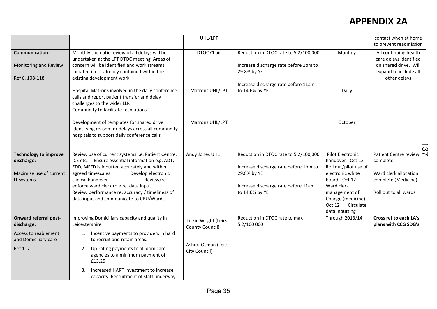|                                                                                                              |                                                                                                                                                                                                                                                                                                                                                                            | UHL/LPT                                                                        |                                                                                                                                                        |                                                                                                                                                                                                   | contact when at home<br>to prevent readmission                                                                    |
|--------------------------------------------------------------------------------------------------------------|----------------------------------------------------------------------------------------------------------------------------------------------------------------------------------------------------------------------------------------------------------------------------------------------------------------------------------------------------------------------------|--------------------------------------------------------------------------------|--------------------------------------------------------------------------------------------------------------------------------------------------------|---------------------------------------------------------------------------------------------------------------------------------------------------------------------------------------------------|-------------------------------------------------------------------------------------------------------------------|
| <b>Communication:</b><br>Monitoring and Review<br>Ref 6, 108-118                                             | Monthly thematic review of all delays will be<br>undertaken at the LPT DTOC meeting. Areas of<br>concern will be identified and work streams<br>initiated if not already contained within the<br>existing development work                                                                                                                                                 | <b>DTOC Chair</b>                                                              | Reduction in DTOC rate to 5.2/100,000<br>Increase discharge rate before 1pm to<br>29.8% by YE                                                          | Monthly                                                                                                                                                                                           | All continuing health<br>care delays identified<br>on shared drive. Will<br>expand to include all<br>other delays |
|                                                                                                              | Hospital Matrons involved in the daily conference<br>calls and report patient transfer and delay<br>challenges to the wider LLR<br>Community to facilitate resolutions.                                                                                                                                                                                                    | Matrons UHL/LPT                                                                | Increase discharge rate before 11am<br>to 14.6% by YE                                                                                                  | Daily                                                                                                                                                                                             |                                                                                                                   |
|                                                                                                              | Development of templates for shared drive<br>identifying reason for delays across all community<br>hospitals to support daily conference calls                                                                                                                                                                                                                             | Matrons UHL/LPT                                                                |                                                                                                                                                        | October                                                                                                                                                                                           |                                                                                                                   |
| <b>Technology to improve</b><br>discharge:<br>Maximise use of current<br>IT systems                          | Review use of current systems i.e. Patient Centre,<br>ICE etc. Ensure essential information e.g. ADT,<br>EDD, MFFD is inputted accurately and within<br>agreed timescales<br>Develop electronic<br>clinical handover<br>Review/re-<br>enforce ward clerk role re. data input<br>Review performance re: accuracy / timeliness of<br>data input and communicate to CBU/Wards | Andy Jones UHL                                                                 | Reduction in DTOC rate to 5.2/100,000<br>Increase discharge rate before 1pm to<br>29.8% by YE<br>Increase discharge rate before 11am<br>to 14.6% by YE | Pilot Electronic<br>handover - Oct 12<br>Roll out/pilot use of<br>electronic white<br>board - Oct 12<br>Ward clerk<br>management of<br>Change (medicine)<br>Oct 12<br>Circulate<br>data inputting | Patient Centre review<br>complete<br>Ward clerk allocation<br>complete (Medicine)<br>Roll out to all wards        |
| <b>Onward referral post-</b><br>discharge:<br>Access to reablement<br>and Domiciliary care<br><b>Ref 117</b> | Improving Domiciliary capacity and quality in<br>Leicestershire<br>1. Incentive payments to providers in hard<br>to recruit and retain areas.<br>Up-rating payments to all dom care<br>2.<br>agencies to a minimum payment of<br>£13.25<br>Increased HART investment to increase<br>3.<br>capacity. Recruitment of staff underway                                          | Jackie Wright (Leics<br>County Council)<br>Ashraf Osman (Leic<br>City Council) | Reduction in DTOC rate to max<br>5.2/100 000                                                                                                           | Through 2013/14                                                                                                                                                                                   | Cross ref to each LA's<br>plans with CCG SDG's                                                                    |